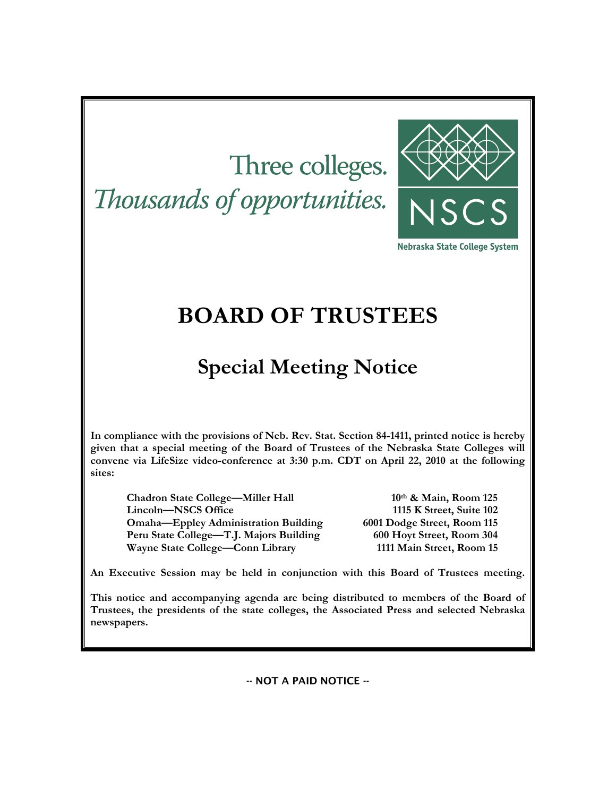# Three colleges. Thousands of opportunities.



Nebraska State College System

## **BOARD OF TRUSTEES**

## **Special Meeting Notice**

**In compliance with the provisions of Neb. Rev. Stat. Section 84-1411, printed notice is hereby given that a special meeting of the Board of Trustees of the Nebraska State Colleges will convene via LifeSize video-conference at 3:30 p.m. CDT on April 22, 2010 at the following sites:** 

**Chadron State College—Miller Hall 10th & Main, Room 125 Lincoln—NSCS Office 1115 K Street, Suite 102 Omaha—Eppley Administration Building 6001 Dodge Street, Room 115 Peru State College—T.J. Majors Building 600 Hoyt Street, Room 304 Wayne State College—Conn Library 1111 Main Street, Room 15** 

**An Executive Session may be held in conjunction with this Board of Trustees meeting.** 

**This notice and accompanying agenda are being distributed to members of the Board of Trustees, the presidents of the state colleges, the Associated Press and selected Nebraska newspapers.** 

-- NOT A PAID NOTICE --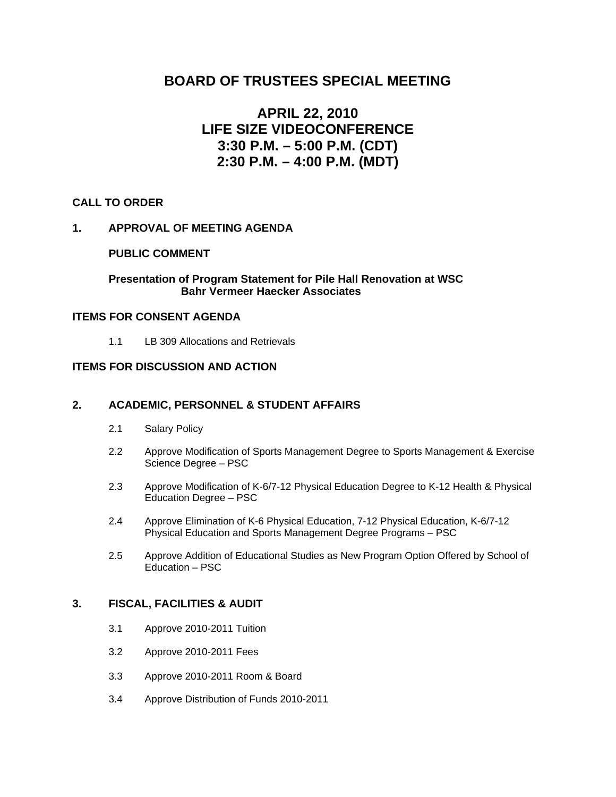## **BOARD OF TRUSTEES SPECIAL MEETING**

## **APRIL 22, 2010 LIFE SIZE VIDEOCONFERENCE 3:30 P.M. – 5:00 P.M. (CDT) 2:30 P.M. – 4:00 P.M. (MDT)**

#### **CALL TO ORDER**

#### **1. APPROVAL OF MEETING AGENDA**

#### **PUBLIC COMMENT**

#### **Presentation of Program Statement for Pile Hall Renovation at WSC Bahr Vermeer Haecker Associates**

#### **ITEMS FOR CONSENT AGENDA**

1.1 LB 309 Allocations and Retrievals

#### **ITEMS FOR DISCUSSION AND ACTION**

#### **2. ACADEMIC, PERSONNEL & STUDENT AFFAIRS**

- 2.1 Salary Policy
- 2.2 Approve Modification of Sports Management Degree to Sports Management & Exercise Science Degree – PSC
- 2.3 Approve Modification of K-6/7-12 Physical Education Degree to K-12 Health & Physical Education Degree – PSC
- 2.4 Approve Elimination of K-6 Physical Education, 7-12 Physical Education, K-6/7-12 Physical Education and Sports Management Degree Programs – PSC
- 2.5 Approve Addition of Educational Studies as New Program Option Offered by School of Education – PSC

#### **3. FISCAL, FACILITIES & AUDIT**

- 3.1 Approve 2010-2011 Tuition
- 3.2 Approve 2010-2011 Fees
- 3.3 Approve 2010-2011 Room & Board
- 3.4 Approve Distribution of Funds 2010-2011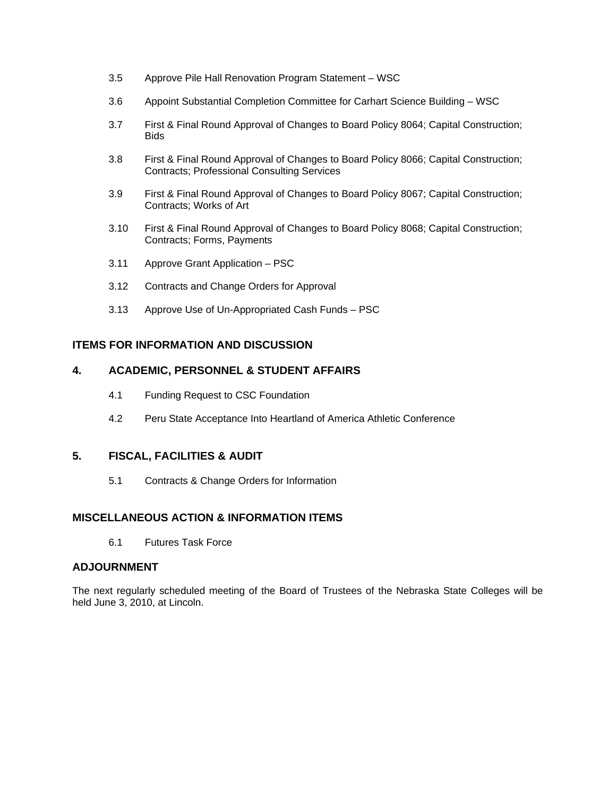- 3.5 Approve Pile Hall Renovation Program Statement WSC
- 3.6 Appoint Substantial Completion Committee for Carhart Science Building WSC
- 3.7 First & Final Round Approval of Changes to Board Policy 8064; Capital Construction; **Bids**
- 3.8 First & Final Round Approval of Changes to Board Policy 8066; Capital Construction; Contracts; Professional Consulting Services
- 3.9 First & Final Round Approval of Changes to Board Policy 8067; Capital Construction; Contracts; Works of Art
- 3.10 First & Final Round Approval of Changes to Board Policy 8068; Capital Construction; Contracts; Forms, Payments
- 3.11 Approve Grant Application PSC
- 3.12 Contracts and Change Orders for Approval
- 3.13 Approve Use of Un-Appropriated Cash Funds PSC

#### **ITEMS FOR INFORMATION AND DISCUSSION**

#### **4. ACADEMIC, PERSONNEL & STUDENT AFFAIRS**

- 4.1 Funding Request to CSC Foundation
- 4.2 Peru State Acceptance Into Heartland of America Athletic Conference

#### **5. FISCAL, FACILITIES & AUDIT**

5.1 Contracts & Change Orders for Information

#### **MISCELLANEOUS ACTION & INFORMATION ITEMS**

6.1 Futures Task Force

#### **ADJOURNMENT**

The next regularly scheduled meeting of the Board of Trustees of the Nebraska State Colleges will be held June 3, 2010, at Lincoln.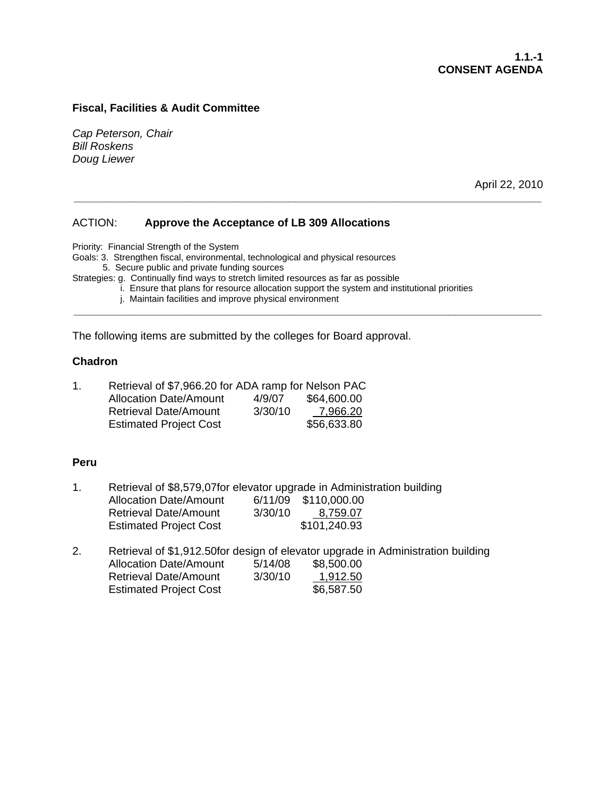*Cap Peterson, Chair Bill Roskens Doug Liewer* 

April 22, 2010

#### ACTION: **Approve the Acceptance of LB 309 Allocations**

Priority: Financial Strength of the System

Goals: 3. Strengthen fiscal, environmental, technological and physical resources

5. Secure public and private funding sources

Strategies: g. Continually find ways to stretch limited resources as far as possible

i. Ensure that plans for resource allocation support the system and institutional priorities

**\_\_\_\_\_\_\_\_\_\_\_\_\_\_\_\_\_\_\_\_\_\_\_\_\_\_\_\_\_\_\_\_\_\_\_\_\_\_\_\_\_\_\_\_\_\_\_\_\_\_\_\_\_\_\_\_\_\_\_\_\_\_\_\_\_\_\_\_\_\_\_\_\_\_\_\_** 

**\_\_\_\_\_\_\_\_\_\_\_\_\_\_\_\_\_\_\_\_\_\_\_\_\_\_\_\_\_\_\_\_\_\_\_\_\_\_\_\_\_\_\_\_\_\_\_\_\_\_\_\_\_\_\_\_\_\_\_\_\_\_\_\_\_\_\_\_\_\_\_\_\_\_\_\_** 

j. Maintain facilities and improve physical environment

The following items are submitted by the colleges for Board approval.

#### **Chadron**

| 1. | Retrieval of \$7,966.20 for ADA ramp for Nelson PAC |         |             |
|----|-----------------------------------------------------|---------|-------------|
|    | <b>Allocation Date/Amount</b>                       | 4/9/07  | \$64,600.00 |
|    | <b>Retrieval Date/Amount</b>                        | 3/30/10 | 7,966.20    |
|    | <b>Estimated Project Cost</b>                       |         | \$56,633.80 |

#### **Peru**

- 1. Retrieval of \$8,579,07for elevator upgrade in Administration building Allocation Date/Amount 6/11/09 \$110,000.00 Retrieval Date/Amount 3/30/10 8,759.07 Estimated Project Cost \$101,240.93
- 2. Retrieval of \$1,912.50for design of elevator upgrade in Administration building Allocation Date/Amount 5/14/08 \$8,500.00 Retrieval Date/Amount 3/30/10 1,912.50 Estimated Project Cost \$6,587.50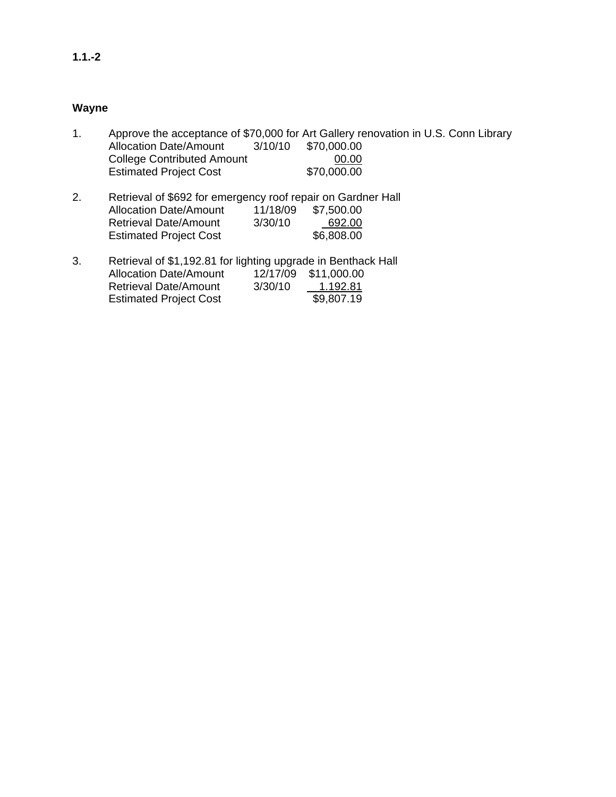#### **Wayne**

- 1. Approve the acceptance of \$70,000 for Art Gallery renovation in U.S. Conn Library Allocation Date/Amount 3/10/10 \$70,000.00 College Contributed Amount 00.00 Estimated Project Cost \$70,000.00 2. Retrieval of \$692 for emergency roof repair on Gardner Hall
- Allocation Date/Amount 11/18/09 \$7,500.00 Retrieval Date/Amount 3/30/10 692.00 Estimated Project Cost \$6,808.00
- 3. Retrieval of \$1,192.81 for lighting upgrade in Benthack Hall Allocation Date/Amount 12/17/09 \$11,000.00<br>Retrieval Date/Amount 3/30/10 1.192.81 Retrieval Date/Amount 3/30/10 1.192.81<br>Estimated Project Cost \$9,807.19 **Estimated Project Cost**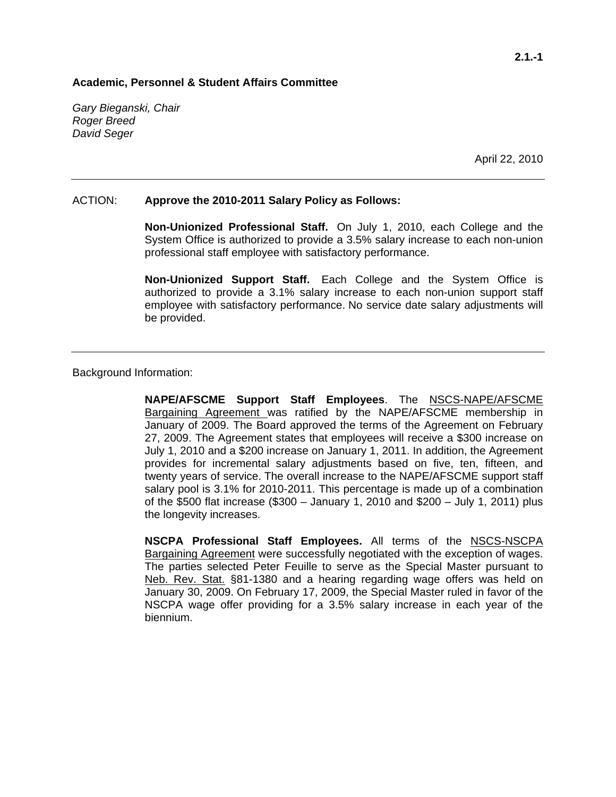*Gary Bieganski, Chair Roger Breed David Seger* 

April 22, 2010

#### ACTION: **Approve the 2010-2011 Salary Policy as Follows:**

**Non-Unionized Professional Staff.** On July 1, 2010, each College and the System Office is authorized to provide a 3.5% salary increase to each non-union professional staff employee with satisfactory performance.

**Non-Unionized Support Staff.** Each College and the System Office is authorized to provide a 3.1% salary increase to each non-union support staff employee with satisfactory performance. No service date salary adjustments will be provided.

Background Information:

**NAPE/AFSCME Support Staff Employees**. The NSCS-NAPE/AFSCME Bargaining Agreement was ratified by the NAPE/AFSCME membership in January of 2009. The Board approved the terms of the Agreement on February 27, 2009. The Agreement states that employees will receive a \$300 increase on July 1, 2010 and a \$200 increase on January 1, 2011. In addition, the Agreement provides for incremental salary adjustments based on five, ten, fifteen, and twenty years of service. The overall increase to the NAPE/AFSCME support staff salary pool is 3.1% for 2010-2011. This percentage is made up of a combination of the \$500 flat increase (\$300 – January 1, 2010 and \$200 – July 1, 2011) plus the longevity increases.

**NSCPA Professional Staff Employees.** All terms of the NSCS-NSCPA Bargaining Agreement were successfully negotiated with the exception of wages. The parties selected Peter Feuille to serve as the Special Master pursuant to Neb. Rev. Stat. §81-1380 and a hearing regarding wage offers was held on January 30, 2009. On February 17, 2009, the Special Master ruled in favor of the NSCPA wage offer providing for a 3.5% salary increase in each year of the biennium.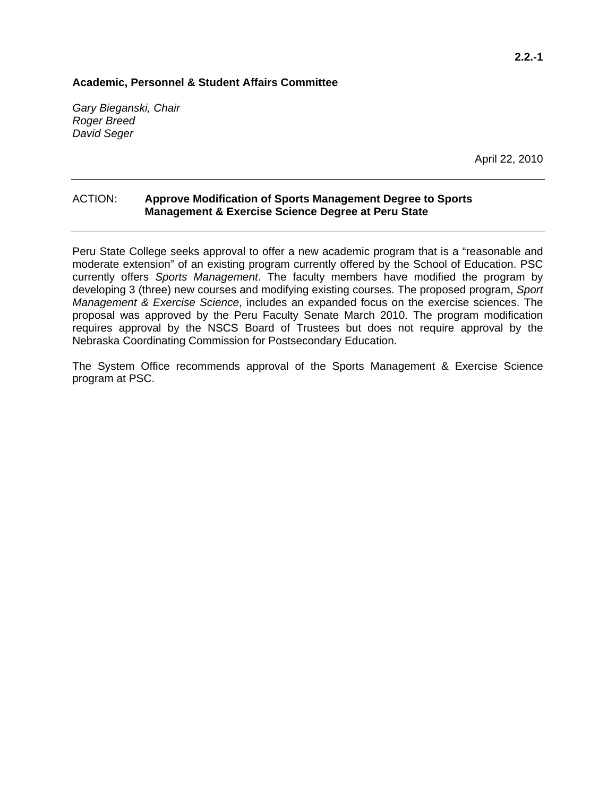*Gary Bieganski, Chair Roger Breed David Seger* 

April 22, 2010

#### ACTION: **Approve Modification of Sports Management Degree to Sports Management & Exercise Science Degree at Peru State**

Peru State College seeks approval to offer a new academic program that is a "reasonable and moderate extension" of an existing program currently offered by the School of Education. PSC currently offers *Sports Management*. The faculty members have modified the program by developing 3 (three) new courses and modifying existing courses. The proposed program, *Sport Management & Exercise Science*, includes an expanded focus on the exercise sciences. The proposal was approved by the Peru Faculty Senate March 2010. The program modification requires approval by the NSCS Board of Trustees but does not require approval by the Nebraska Coordinating Commission for Postsecondary Education.

The System Office recommends approval of the Sports Management & Exercise Science program at PSC.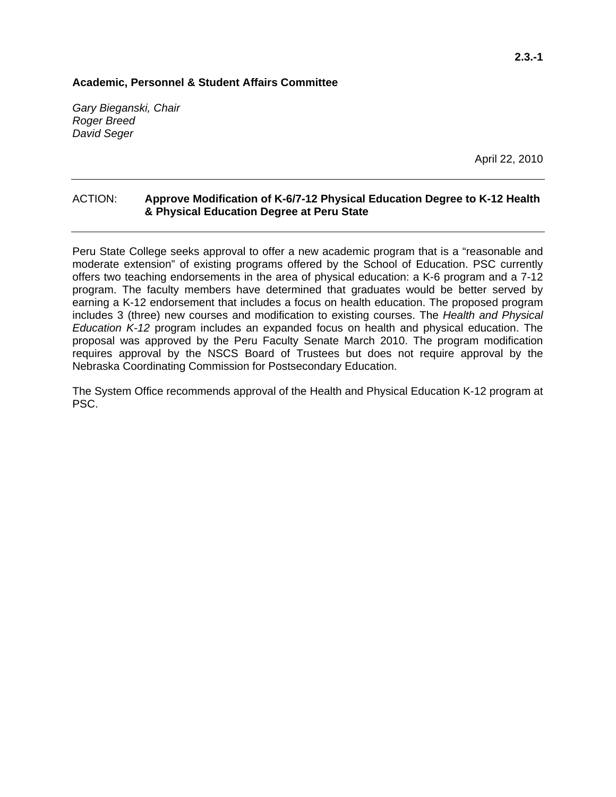*Gary Bieganski, Chair Roger Breed David Seger* 

April 22, 2010

#### ACTION: **Approve Modification of K-6/7-12 Physical Education Degree to K-12 Health & Physical Education Degree at Peru State**

Peru State College seeks approval to offer a new academic program that is a "reasonable and moderate extension" of existing programs offered by the School of Education. PSC currently offers two teaching endorsements in the area of physical education: a K-6 program and a 7-12 program. The faculty members have determined that graduates would be better served by earning a K-12 endorsement that includes a focus on health education. The proposed program includes 3 (three) new courses and modification to existing courses. The *Health and Physical Education K-12* program includes an expanded focus on health and physical education. The proposal was approved by the Peru Faculty Senate March 2010. The program modification requires approval by the NSCS Board of Trustees but does not require approval by the Nebraska Coordinating Commission for Postsecondary Education.

The System Office recommends approval of the Health and Physical Education K-12 program at PSC.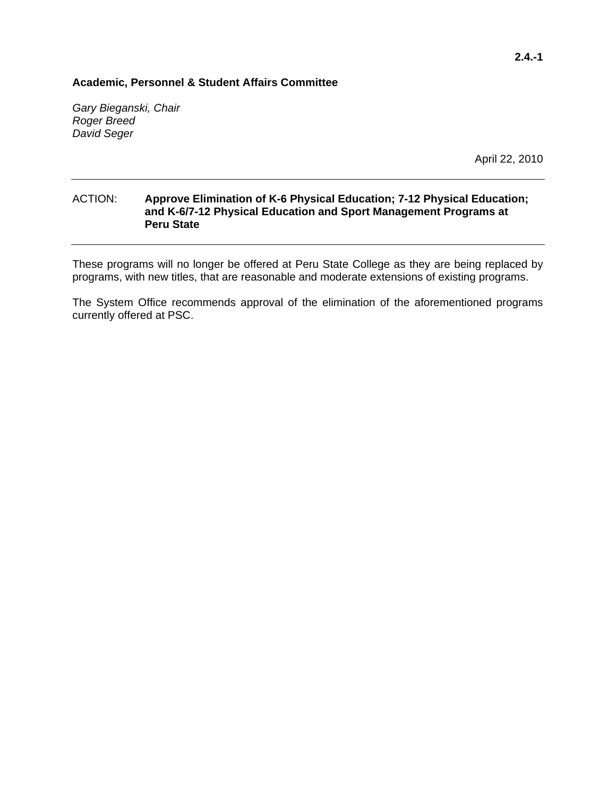*Gary Bieganski, Chair Roger Breed David Seger* 

April 22, 2010

#### ACTION: **Approve Elimination of K-6 Physical Education; 7-12 Physical Education; and K-6/7-12 Physical Education and Sport Management Programs at Peru State**

These programs will no longer be offered at Peru State College as they are being replaced by programs, with new titles, that are reasonable and moderate extensions of existing programs.

The System Office recommends approval of the elimination of the aforementioned programs currently offered at PSC.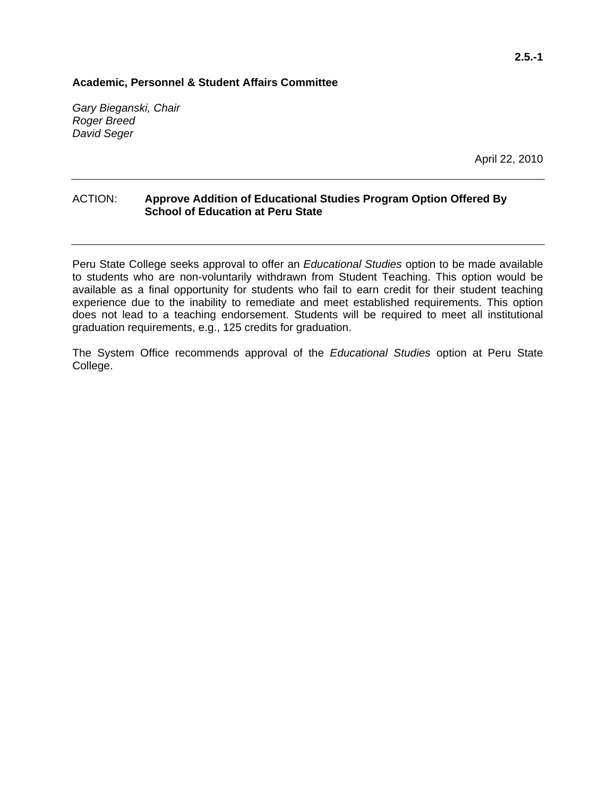*Gary Bieganski, Chair Roger Breed David Seger* 

April 22, 2010

#### ACTION: **Approve Addition of Educational Studies Program Option Offered By School of Education at Peru State**

Peru State College seeks approval to offer an *Educational Studies* option to be made available to students who are non-voluntarily withdrawn from Student Teaching. This option would be available as a final opportunity for students who fail to earn credit for their student teaching experience due to the inability to remediate and meet established requirements. This option does not lead to a teaching endorsement. Students will be required to meet all institutional graduation requirements, e.g., 125 credits for graduation.

The System Office recommends approval of the *Educational Studies* option at Peru State College.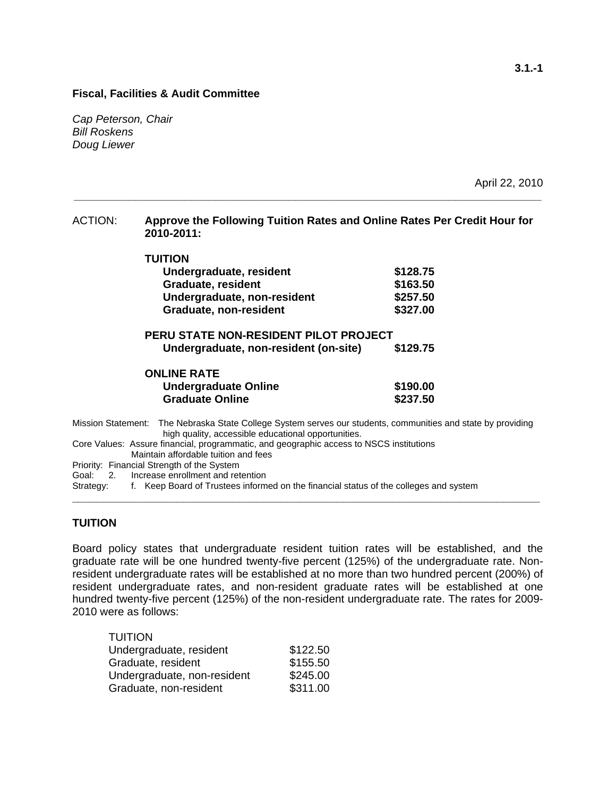. . . . . . . . .

*Cap Peterson, Chair Bill Roskens Doug Liewer* 

April 22, 2010

| <b>ACTION:</b> | Approve the Following Tuition Rates and Online Rates Per Credit Hour for |
|----------------|--------------------------------------------------------------------------|
|                | 2010-2011:                                                               |
|                |                                                                          |

**\_\_\_\_\_\_\_\_\_\_\_\_\_\_\_\_\_\_\_\_\_\_\_\_\_\_\_\_\_\_\_\_\_\_\_\_\_\_\_\_\_\_\_\_\_\_\_\_\_\_\_\_\_\_\_\_\_\_\_\_\_\_\_\_\_\_\_\_\_\_\_\_\_\_\_\_** 

| TULLION                     |          |
|-----------------------------|----------|
| Undergraduate, resident     | \$128.75 |
| <b>Graduate, resident</b>   | \$163.50 |
| Undergraduate, non-resident | \$257.50 |
| Graduate, non-resident      | \$327.00 |

| <b>PERU STATE NON-RESIDENT PILOT PROJECT</b> |          |
|----------------------------------------------|----------|
| Undergraduate, non-resident (on-site)        | \$129.75 |

| <b>ONLINE RATE</b>          |          |
|-----------------------------|----------|
| <b>Undergraduate Online</b> | \$190.00 |
| <b>Graduate Online</b>      | \$237.50 |

Mission Statement: The Nebraska State College System serves our students, communities and state by providing high quality, accessible educational opportunities.

Core Values: Assure financial, programmatic, and geographic access to NSCS institutions Maintain affordable tuition and fees

Priority: Financial Strength of the System

Goal: 2. Increase enrollment and retention

Strategy: f. Keep Board of Trustees informed on the financial status of the colleges and system

#### **TUITION**

Board policy states that undergraduate resident tuition rates will be established, and the graduate rate will be one hundred twenty-five percent (125%) of the undergraduate rate. Nonresident undergraduate rates will be established at no more than two hundred percent (200%) of resident undergraduate rates, and non-resident graduate rates will be established at one hundred twenty-five percent (125%) of the non-resident undergraduate rate. The rates for 2009- 2010 were as follows:

**\_\_\_\_\_\_\_\_\_\_\_\_\_\_\_\_\_\_\_\_\_\_\_\_\_\_\_\_\_\_\_\_\_\_\_\_\_\_\_\_\_\_\_\_\_\_\_\_\_\_\_\_\_\_\_\_\_\_\_\_\_\_\_\_\_\_\_\_\_\_\_\_\_\_\_\_** 

| <b>TUITION</b>              |          |
|-----------------------------|----------|
| Undergraduate, resident     | \$122.50 |
| Graduate, resident          | \$155.50 |
| Undergraduate, non-resident | \$245.00 |
| Graduate, non-resident      | \$311.00 |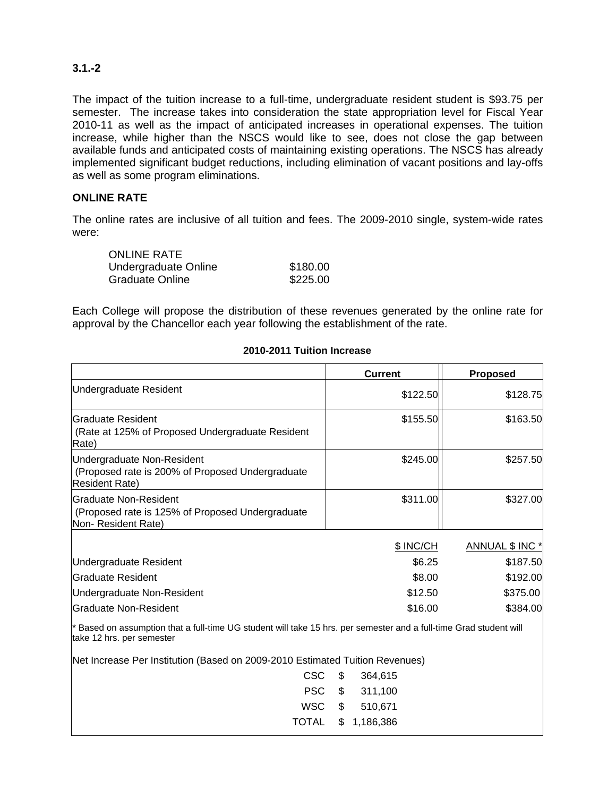### **3.1.-2**

The impact of the tuition increase to a full-time, undergraduate resident student is \$93.75 per semester. The increase takes into consideration the state appropriation level for Fiscal Year 2010-11 as well as the impact of anticipated increases in operational expenses. The tuition increase, while higher than the NSCS would like to see, does not close the gap between available funds and anticipated costs of maintaining existing operations. The NSCS has already implemented significant budget reductions, including elimination of vacant positions and lay-offs as well as some program eliminations.

#### **ONLINE RATE**

The online rates are inclusive of all tuition and fees. The 2009-2010 single, system-wide rates were:

| <b>ONLINE RATE</b>     |          |
|------------------------|----------|
| Undergraduate Online   | \$180.00 |
| <b>Graduate Online</b> | \$225.00 |

Each College will propose the distribution of these revenues generated by the online rate for approval by the Chancellor each year following the establishment of the rate.

|                                                                                                                                                 | <b>Current</b>  | <b>Proposed</b> |
|-------------------------------------------------------------------------------------------------------------------------------------------------|-----------------|-----------------|
| Undergraduate Resident                                                                                                                          | \$122.50        | \$128.75        |
| <b>Graduate Resident</b><br>(Rate at 125% of Proposed Undergraduate Resident<br>Rate)                                                           | \$155.50        | \$163.50        |
| Undergraduate Non-Resident<br>(Proposed rate is 200% of Proposed Undergraduate<br><b>Resident Rate)</b>                                         | \$245.00        | \$257.50        |
| Graduate Non-Resident<br>(Proposed rate is 125% of Proposed Undergraduate<br>Non-Resident Rate)                                                 | \$311.00        | \$327.00        |
|                                                                                                                                                 | \$ INC/CH       | ANNUAL \$ INC * |
| Undergraduate Resident                                                                                                                          | \$6.25          | \$187.50        |
| Graduate Resident                                                                                                                               | \$8.00          | \$192.00        |
| Undergraduate Non-Resident                                                                                                                      | \$12.50         | \$375.00        |
| Graduate Non-Resident                                                                                                                           | \$16.00         | \$384.00        |
| * Based on assumption that a full-time UG student will take 15 hrs. per semester and a full-time Grad student will<br>take 12 hrs. per semester |                 |                 |
| Net Increase Per Institution (Based on 2009-2010 Estimated Tuition Revenues)                                                                    |                 |                 |
| <b>CSC</b>                                                                                                                                      | \$<br>364,615   |                 |
| <b>PSC</b>                                                                                                                                      | \$<br>311,100   |                 |
| <b>WSC</b>                                                                                                                                      | \$<br>510,671   |                 |
| TOTAL                                                                                                                                           | \$<br>1,186,386 |                 |

#### **2010-2011 Tuition Increase**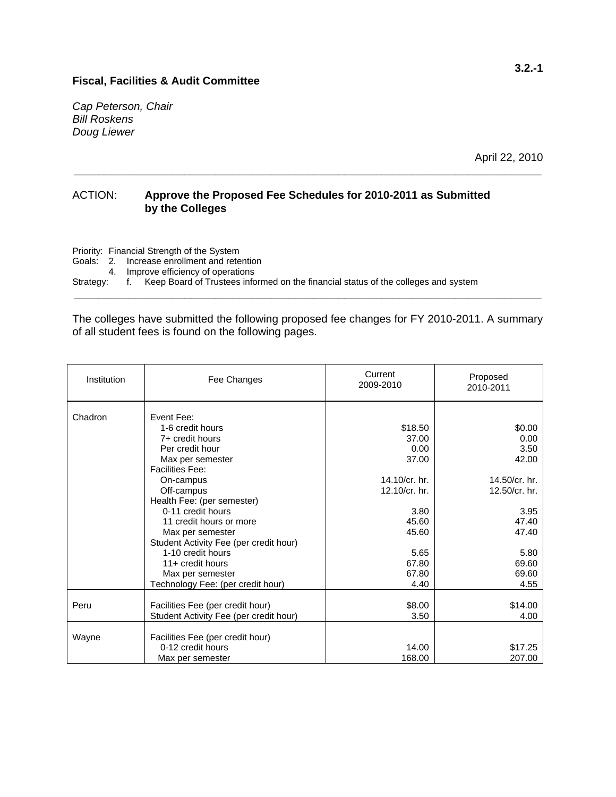*Cap Peterson, Chair Bill Roskens Doug Liewer* 

April 22, 2010

#### ACTION: **Approve the Proposed Fee Schedules for 2010-2011 as Submitted by the Colleges**

Priority: Financial Strength of the System

Goals: 2. Increase enrollment and retention

4. Improve efficiency of operations

Strategy: f. Keep Board of Trustees informed on the financial status of the colleges and system

The colleges have submitted the following proposed fee changes for FY 2010-2011. A summary of all student fees is found on the following pages.

**\_\_\_\_\_\_\_\_\_\_\_\_\_\_\_\_\_\_\_\_\_\_\_\_\_\_\_\_\_\_\_\_\_\_\_\_\_\_\_\_\_\_\_\_\_\_\_\_\_\_\_\_\_\_\_\_\_\_\_\_\_\_\_\_\_\_\_\_\_\_\_\_\_\_\_\_** 

**\_\_\_\_\_\_\_\_\_\_\_\_\_\_\_\_\_\_\_\_\_\_\_\_\_\_\_\_\_\_\_\_\_\_\_\_\_\_\_\_\_\_\_\_\_\_\_\_\_\_\_\_\_\_\_\_\_\_\_\_\_\_\_\_\_\_\_\_\_\_\_\_\_\_\_\_** 

| Institution | Fee Changes                            | Current<br>2009-2010 | Proposed<br>2010-2011 |
|-------------|----------------------------------------|----------------------|-----------------------|
| Chadron     | Event Fee:                             |                      |                       |
|             | 1-6 credit hours                       | \$18.50              | \$0.00                |
|             | 7+ credit hours                        | 37.00                | 0.00                  |
|             | Per credit hour                        | 0.00                 | 3.50                  |
|             | Max per semester                       | 37.00                | 42.00                 |
|             | <b>Facilities Fee:</b>                 |                      |                       |
|             | On-campus                              | 14.10/ $cr.$ hr.     | 14.50/cr. hr.         |
|             | Off-campus                             | 12.10/cr. hr.        | 12.50/cr. hr.         |
|             | Health Fee: (per semester)             |                      |                       |
|             | 0-11 credit hours                      | 3.80                 | 3.95                  |
|             | 11 credit hours or more                | 45.60                | 47.40                 |
|             | Max per semester                       | 45.60                | 47.40                 |
|             | Student Activity Fee (per credit hour) |                      |                       |
|             | 1-10 credit hours                      | 5.65                 | 5.80                  |
|             | 11+ credit hours                       | 67.80                | 69.60                 |
|             | Max per semester                       | 67.80                | 69.60                 |
|             | Technology Fee: (per credit hour)      | 4.40                 | 4.55                  |
|             |                                        |                      |                       |
| Peru        | Facilities Fee (per credit hour)       | \$8.00               | \$14.00               |
|             | Student Activity Fee (per credit hour) | 3.50                 | 4.00                  |
| Wayne       | Facilities Fee (per credit hour)       |                      |                       |
|             | 0-12 credit hours                      | 14.00                | \$17.25               |
|             | Max per semester                       | 168.00               | 207.00                |
|             |                                        |                      |                       |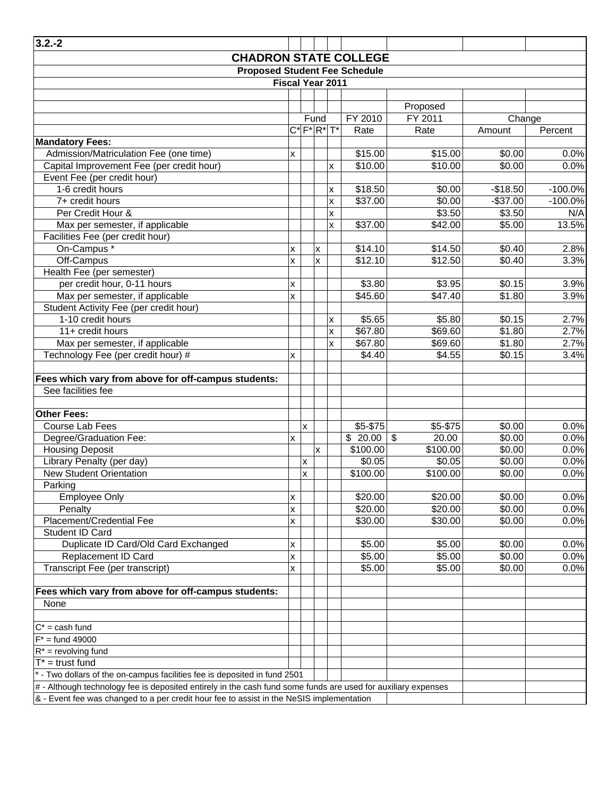| $3.2 - 2$                                                                                                       |          |                           |                |                         |                  |                         |           |           |
|-----------------------------------------------------------------------------------------------------------------|----------|---------------------------|----------------|-------------------------|------------------|-------------------------|-----------|-----------|
| <b>CHADRON STATE COLLEGE</b>                                                                                    |          |                           |                |                         |                  |                         |           |           |
| <b>Proposed Student Fee Schedule</b>                                                                            |          |                           |                |                         |                  |                         |           |           |
|                                                                                                                 |          |                           |                | Fiscal Year 2011        |                  |                         |           |           |
|                                                                                                                 |          |                           |                |                         |                  |                         |           |           |
|                                                                                                                 |          |                           |                |                         |                  | Proposed                |           |           |
|                                                                                                                 |          |                           | Fund           |                         | FY 2010          | FY 2011                 | Change    |           |
|                                                                                                                 |          |                           |                | $C^*$ $F^*$ $R^*$ $T^*$ | Rate             | Rate                    | Amount    | Percent   |
| <b>Mandatory Fees:</b>                                                                                          |          |                           |                |                         |                  |                         |           |           |
| Admission/Matriculation Fee (one time)                                                                          | x        |                           |                |                         | \$15.00          | \$15.00                 | \$0.00    | 0.0%      |
| Capital Improvement Fee (per credit hour)                                                                       |          |                           |                | x                       | \$10.00          | \$10.00                 | \$0.00    | 0.0%      |
| Event Fee (per credit hour)                                                                                     |          |                           |                |                         |                  |                         |           |           |
| 1-6 credit hours                                                                                                |          |                           |                | x                       | \$18.50          | \$0.00                  | $-$18.50$ | $-100.0%$ |
| 7+ credit hours                                                                                                 |          |                           |                | X                       | \$37.00          | \$0.00                  | $-$37.00$ | $-100.0%$ |
| Per Credit Hour &                                                                                               |          |                           |                | X                       |                  | \$3.50                  | \$3.50    | N/A       |
| Max per semester, if applicable                                                                                 |          |                           |                | X                       | \$37.00          | \$42.00                 | \$5.00    | 13.5%     |
| Facilities Fee (per credit hour)                                                                                |          |                           |                |                         |                  |                         |           |           |
| On-Campus *                                                                                                     | x        |                           | $\pmb{\times}$ |                         | \$14.10          | \$14.50                 | \$0.40    | 2.8%      |
| Off-Campus                                                                                                      | x        |                           | X              |                         | \$12.10          | \$12.50                 | \$0.40    | 3.3%      |
| Health Fee (per semester)                                                                                       |          |                           |                |                         |                  |                         |           |           |
| per credit hour, 0-11 hours                                                                                     | x        |                           |                |                         | \$3.80           | \$3.95                  | \$0.15    | 3.9%      |
| Max per semester, if applicable                                                                                 | <b>X</b> |                           |                |                         | \$45.60          | \$47.40                 | \$1.80    | 3.9%      |
| Student Activity Fee (per credit hour)                                                                          |          |                           |                |                         |                  |                         |           |           |
| 1-10 credit hours                                                                                               |          |                           |                | X                       | \$5.65           | \$5.80                  | \$0.15    | 2.7%      |
| 11+ credit hours                                                                                                |          |                           |                | X                       | \$67.80          | \$69.60                 | \$1.80    | 2.7%      |
| Max per semester, if applicable                                                                                 |          |                           |                | X                       | \$67.80          | \$69.60                 | \$1.80    | 2.7%      |
| Technology Fee (per credit hour) #                                                                              | X.       |                           |                |                         | \$4.40           | \$4.55                  | \$0.15    | 3.4%      |
|                                                                                                                 |          |                           |                |                         |                  |                         |           |           |
| Fees which vary from above for off-campus students:                                                             |          |                           |                |                         |                  |                         |           |           |
| See facilities fee                                                                                              |          |                           |                |                         |                  |                         |           |           |
|                                                                                                                 |          |                           |                |                         |                  |                         |           |           |
| <b>Other Fees:</b>                                                                                              |          |                           |                |                         |                  |                         |           |           |
| Course Lab Fees                                                                                                 |          | $\boldsymbol{\mathsf{x}}$ |                |                         | \$5-\$75         | \$5-\$75                | \$0.00    | 0.0%      |
| Degree/Graduation Fee:                                                                                          | x        |                           |                |                         | $\sqrt{$}$ 20.00 | $\mathfrak{s}$<br>20.00 | \$0.00    | 0.0%      |
| <b>Housing Deposit</b>                                                                                          |          |                           | X              |                         | \$100.00         | \$100.00                | \$0.00    | 0.0%      |
| Library Penalty (per day)                                                                                       |          | X                         |                |                         | \$0.05           | \$0.05                  | \$0.00    | 0.0%      |
| <b>New Student Orientation</b>                                                                                  |          | $\boldsymbol{\mathsf{x}}$ |                |                         | \$100.00         | \$100.00                | \$0.00    | 0.0%      |
| Parking                                                                                                         |          |                           |                |                         |                  |                         |           |           |
| <b>Employee Only</b>                                                                                            | x        |                           |                |                         | \$20.00          | \$20.00                 | \$0.00    | 0.0%      |
| Penalty                                                                                                         | x        |                           |                |                         | \$20.00          | \$20.00                 | \$0.00    | 0.0%      |
| Placement/Credential Fee                                                                                        | x        |                           |                |                         | \$30.00          | \$30.00                 | \$0.00    | 0.0%      |
| Student ID Card                                                                                                 |          |                           |                |                         |                  |                         |           |           |
| Duplicate ID Card/Old Card Exchanged                                                                            | x        |                           |                |                         | \$5.00           | \$5.00                  | \$0.00    | 0.0%      |
| Replacement ID Card                                                                                             | x        |                           |                |                         | \$5.00           | \$5.00                  | \$0.00    | 0.0%      |
| Transcript Fee (per transcript)                                                                                 | x        |                           |                |                         | \$5.00           | \$5.00                  | \$0.00    | 0.0%      |
|                                                                                                                 |          |                           |                |                         |                  |                         |           |           |
| Fees which vary from above for off-campus students:                                                             |          |                           |                |                         |                  |                         |           |           |
| None                                                                                                            |          |                           |                |                         |                  |                         |           |           |
|                                                                                                                 |          |                           |                |                         |                  |                         |           |           |
| $C^*$ = cash fund                                                                                               |          |                           |                |                         |                  |                         |           |           |
| $F^*$ = fund 49000                                                                                              |          |                           |                |                         |                  |                         |           |           |
| $R^*$ = revolving fund                                                                                          |          |                           |                |                         |                  |                         |           |           |
| $T^*$ = trust fund                                                                                              |          |                           |                |                         |                  |                         |           |           |
| - Two dollars of the on-campus facilities fee is deposited in fund 2501                                         |          |                           |                |                         |                  |                         |           |           |
| $#$ - Although technology fee is deposited entirely in the cash fund some funds are used for auxiliary expenses |          |                           |                |                         |                  |                         |           |           |
| & - Event fee was changed to a per credit hour fee to assist in the NeSIS implementation                        |          |                           |                |                         |                  |                         |           |           |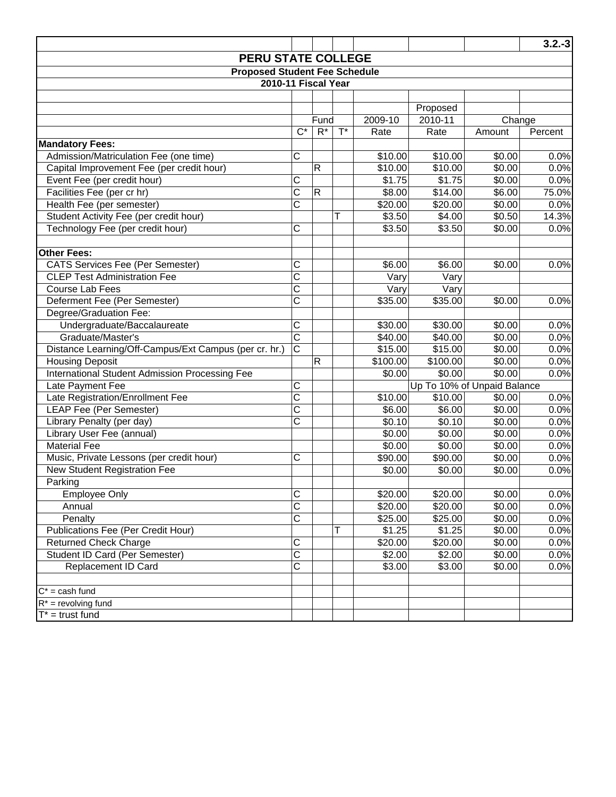| <b>PERU STATE COLLEGE</b><br><b>Proposed Student Fee Schedule</b><br>2010-11 Fiscal Year<br>Proposed<br>2009-10<br>2010-11<br>Change<br>Fund<br>$\overline{C^*}$<br>$R^*$<br>$\overline{T}^*$<br>Percent<br>Amount<br>Rate<br>Rate<br><b>Mandatory Fees:</b><br>C<br>Admission/Matriculation Fee (one time)<br>\$10.00<br>\$10.00<br>\$0.00<br>$\overline{R}$<br>\$10.00<br>Capital Improvement Fee (per credit hour)<br>\$10.00<br>\$0.00<br>Event Fee (per credit hour)<br>C<br>\$1.75<br>\$1.75<br>\$0.00 | 0.0%<br>0.0%<br>0.0%<br>75.0%<br>0.0%<br>14.3%<br>0.0% |
|--------------------------------------------------------------------------------------------------------------------------------------------------------------------------------------------------------------------------------------------------------------------------------------------------------------------------------------------------------------------------------------------------------------------------------------------------------------------------------------------------------------|--------------------------------------------------------|
|                                                                                                                                                                                                                                                                                                                                                                                                                                                                                                              |                                                        |
|                                                                                                                                                                                                                                                                                                                                                                                                                                                                                                              |                                                        |
|                                                                                                                                                                                                                                                                                                                                                                                                                                                                                                              |                                                        |
|                                                                                                                                                                                                                                                                                                                                                                                                                                                                                                              |                                                        |
|                                                                                                                                                                                                                                                                                                                                                                                                                                                                                                              |                                                        |
|                                                                                                                                                                                                                                                                                                                                                                                                                                                                                                              |                                                        |
|                                                                                                                                                                                                                                                                                                                                                                                                                                                                                                              |                                                        |
|                                                                                                                                                                                                                                                                                                                                                                                                                                                                                                              |                                                        |
|                                                                                                                                                                                                                                                                                                                                                                                                                                                                                                              |                                                        |
|                                                                                                                                                                                                                                                                                                                                                                                                                                                                                                              |                                                        |
|                                                                                                                                                                                                                                                                                                                                                                                                                                                                                                              |                                                        |
| $\overline{\text{c}}$<br>Facilities Fee (per cr hr)<br>$\mathsf{R}$<br>\$14.00<br>\$8.00<br>\$6.00                                                                                                                                                                                                                                                                                                                                                                                                           |                                                        |
| $\overline{\text{c}}$<br>Health Fee (per semester)<br>\$20.00<br>\$20.00<br>\$0.00                                                                                                                                                                                                                                                                                                                                                                                                                           |                                                        |
| Student Activity Fee (per credit hour)<br>\$3.50<br>\$0.50<br>Т<br>\$4.00                                                                                                                                                                                                                                                                                                                                                                                                                                    |                                                        |
| $\overline{\text{c}}$<br>\$3.50<br>\$3.50<br>Technology Fee (per credit hour)<br>\$0.00                                                                                                                                                                                                                                                                                                                                                                                                                      |                                                        |
| <b>Other Fees:</b>                                                                                                                                                                                                                                                                                                                                                                                                                                                                                           |                                                        |
| C<br><b>CATS Services Fee (Per Semester)</b><br>\$6.00<br>\$6.00<br>\$0.00                                                                                                                                                                                                                                                                                                                                                                                                                                   | 0.0%                                                   |
| $\overline{\text{c}}$<br><b>CLEP Test Administration Fee</b><br>Vary<br>Vary                                                                                                                                                                                                                                                                                                                                                                                                                                 |                                                        |
| $\overline{\text{c}}$<br>Vary<br>Vary<br><b>Course Lab Fees</b>                                                                                                                                                                                                                                                                                                                                                                                                                                              |                                                        |
| $\overline{\text{c}}$<br>$\overline{$}35.00$<br>Deferment Fee (Per Semester)<br>\$35.00<br>\$0.00                                                                                                                                                                                                                                                                                                                                                                                                            | 0.0%                                                   |
| Degree/Graduation Fee:                                                                                                                                                                                                                                                                                                                                                                                                                                                                                       |                                                        |
| C<br>Undergraduate/Baccalaureate<br>\$30.00<br>\$30.00<br>\$0.00                                                                                                                                                                                                                                                                                                                                                                                                                                             | 0.0%                                                   |
| $\overline{\text{c}}$<br>\$0.00<br>Graduate/Master's<br>\$40.00<br>\$40.00                                                                                                                                                                                                                                                                                                                                                                                                                                   | 0.0%                                                   |
| $\overline{\rm c}$<br>Distance Learning/Off-Campus/Ext Campus (per cr. hr.)<br>\$15.00<br>\$15.00<br>\$0.00                                                                                                                                                                                                                                                                                                                                                                                                  | 0.0%                                                   |
| $\mathsf{R}$<br>\$100.00<br>\$0.00<br><b>Housing Deposit</b><br>\$100.00                                                                                                                                                                                                                                                                                                                                                                                                                                     | 0.0%                                                   |
| \$0.00<br>\$0.00<br>\$0.00<br>International Student Admission Processing Fee                                                                                                                                                                                                                                                                                                                                                                                                                                 | 0.0%                                                   |
| C<br>Up To 10% of Unpaid Balance<br>Late Payment Fee                                                                                                                                                                                                                                                                                                                                                                                                                                                         |                                                        |
| $\overline{\text{c}}$<br>Late Registration/Enrollment Fee<br>\$10.00<br>\$10.00<br>\$0.00                                                                                                                                                                                                                                                                                                                                                                                                                    | 0.0%                                                   |
| $\overline{\text{c}}$<br><b>LEAP Fee (Per Semester)</b><br>\$6.00<br>\$6.00<br>\$0.00                                                                                                                                                                                                                                                                                                                                                                                                                        | 0.0%                                                   |
| $\overline{\text{c}}$<br>Library Penalty (per day)<br>\$0.10<br>\$0.10<br>\$0.00                                                                                                                                                                                                                                                                                                                                                                                                                             | 0.0%                                                   |
| Library User Fee (annual)<br>\$0.00<br>\$0.00<br>\$0.00                                                                                                                                                                                                                                                                                                                                                                                                                                                      | 0.0%                                                   |
| <b>Material Fee</b><br>\$0.00<br>\$0.00<br>\$0.00                                                                                                                                                                                                                                                                                                                                                                                                                                                            | 0.0%                                                   |
| $\overline{\text{C}}$<br>Music, Private Lessons (per credit hour)<br>\$90.00<br>\$90.00<br>\$0.00                                                                                                                                                                                                                                                                                                                                                                                                            | 0.0%                                                   |
| <b>New Student Registration Fee</b><br>\$0.00<br>\$0.00<br>\$0.00                                                                                                                                                                                                                                                                                                                                                                                                                                            | 0.0%                                                   |
| Parking                                                                                                                                                                                                                                                                                                                                                                                                                                                                                                      |                                                        |
| $\mathsf C$<br>\$20.00<br>\$20.00<br>\$0.00<br><b>Employee Only</b>                                                                                                                                                                                                                                                                                                                                                                                                                                          | 0.0%                                                   |
| $\overline{\text{c}}$<br>\$20.00<br>\$0.00<br>\$20.00<br>Annual                                                                                                                                                                                                                                                                                                                                                                                                                                              | 0.0%                                                   |
| $\overline{\text{C}}$<br>\$25.00<br>\$25.00<br>\$0.00<br>Penalty                                                                                                                                                                                                                                                                                                                                                                                                                                             | 0.0%                                                   |
| \$1.25<br><b>Publications Fee (Per Credit Hour)</b><br>Т<br>\$1.25<br>\$0.00                                                                                                                                                                                                                                                                                                                                                                                                                                 | 0.0%                                                   |
| $\overline{\mathrm{C}}$<br>\$20.00<br>\$20.00<br>\$0.00<br><b>Returned Check Charge</b>                                                                                                                                                                                                                                                                                                                                                                                                                      | 0.0%                                                   |
| $\overline{\text{c}}$<br>$\overline{$}2.00$<br>\$2.00<br>Student ID Card (Per Semester)<br>\$0.00                                                                                                                                                                                                                                                                                                                                                                                                            | 0.0%                                                   |
| $\overline{\text{C}}$<br>Replacement ID Card<br>\$3.00<br>\$3.00<br>\$0.00                                                                                                                                                                                                                                                                                                                                                                                                                                   | 0.0%                                                   |
| $C^*$ = cash fund                                                                                                                                                                                                                                                                                                                                                                                                                                                                                            |                                                        |
| $R^*$ = revolving fund                                                                                                                                                                                                                                                                                                                                                                                                                                                                                       |                                                        |
| $T^*$ = trust fund                                                                                                                                                                                                                                                                                                                                                                                                                                                                                           |                                                        |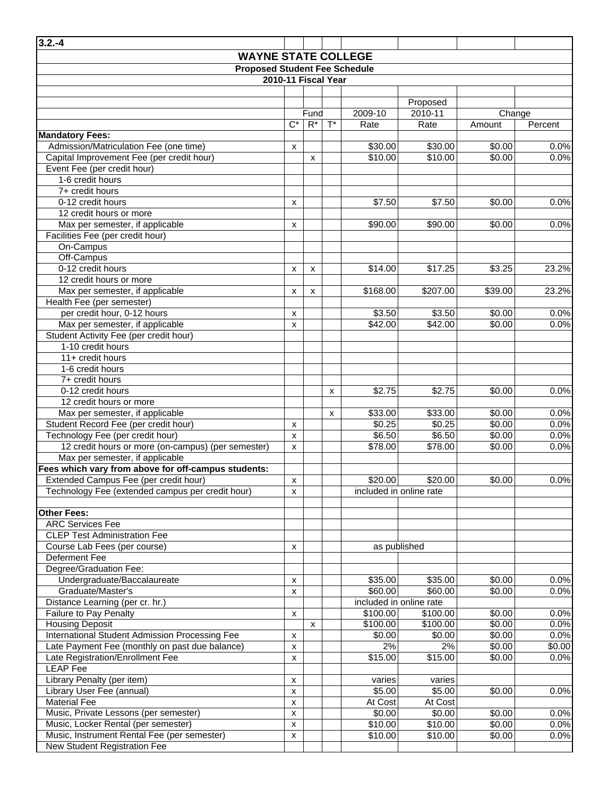| $3.2 - 4$                                                                             |                    |                  |       |                         |                                     |         |         |  |  |  |
|---------------------------------------------------------------------------------------|--------------------|------------------|-------|-------------------------|-------------------------------------|---------|---------|--|--|--|
| <b>WAYNE STATE COLLEGE</b>                                                            |                    |                  |       |                         |                                     |         |         |  |  |  |
| <b>Proposed Student Fee Schedule</b><br>2010-11 Fiscal Year                           |                    |                  |       |                         |                                     |         |         |  |  |  |
|                                                                                       |                    |                  |       |                         |                                     |         |         |  |  |  |
|                                                                                       |                    |                  |       |                         | Proposed                            |         |         |  |  |  |
|                                                                                       |                    | Fund             |       | 2009-10                 | 2010-11                             | Change  |         |  |  |  |
|                                                                                       | $C^*$              | $\overline{R^*}$ | $T^*$ | Rate                    | Rate                                | Amount  | Percent |  |  |  |
| <b>Mandatory Fees:</b>                                                                |                    |                  |       |                         |                                     |         |         |  |  |  |
| Admission/Matriculation Fee (one time)                                                | X                  |                  |       | \$30.00                 | \$30.00                             | \$0.00  | 0.0%    |  |  |  |
| Capital Improvement Fee (per credit hour)                                             |                    | x                |       | \$10.00                 | \$10.00                             | \$0.00  | 0.0%    |  |  |  |
| Event Fee (per credit hour)                                                           |                    |                  |       |                         |                                     |         |         |  |  |  |
| 1-6 credit hours                                                                      |                    |                  |       |                         |                                     |         |         |  |  |  |
| 7+ credit hours                                                                       |                    |                  |       |                         |                                     |         |         |  |  |  |
| 0-12 credit hours                                                                     | x                  |                  |       | \$7.50                  | \$7.50                              | \$0.00  | 0.0%    |  |  |  |
| 12 credit hours or more                                                               |                    |                  |       |                         |                                     |         |         |  |  |  |
| Max per semester, if applicable                                                       | x                  |                  |       | \$90.00                 | \$90.00                             | \$0.00  | 0.0%    |  |  |  |
| Facilities Fee (per credit hour)                                                      |                    |                  |       |                         |                                     |         |         |  |  |  |
| On-Campus<br>Off-Campus                                                               |                    |                  |       |                         |                                     |         |         |  |  |  |
| 0-12 credit hours                                                                     |                    |                  |       | \$14.00                 | \$17.25                             | \$3.25  | 23.2%   |  |  |  |
| 12 credit hours or more                                                               | x                  | x                |       |                         |                                     |         |         |  |  |  |
| Max per semester, if applicable                                                       | x                  | x                |       | \$168.00                | \$207.00                            | \$39.00 | 23.2%   |  |  |  |
| Health Fee (per semester)                                                             |                    |                  |       |                         |                                     |         |         |  |  |  |
| per credit hour, 0-12 hours                                                           | x                  |                  |       | \$3.50                  | \$3.50                              | \$0.00  | 0.0%    |  |  |  |
| Max per semester, if applicable                                                       | x                  |                  |       | \$42.00                 | \$42.00                             | \$0.00  | 0.0%    |  |  |  |
| Student Activity Fee (per credit hour)                                                |                    |                  |       |                         |                                     |         |         |  |  |  |
| 1-10 credit hours                                                                     |                    |                  |       |                         |                                     |         |         |  |  |  |
| 11+ credit hours                                                                      |                    |                  |       |                         |                                     |         |         |  |  |  |
| 1-6 credit hours                                                                      |                    |                  |       |                         |                                     |         |         |  |  |  |
| 7+ credit hours                                                                       |                    |                  |       |                         |                                     |         |         |  |  |  |
| 0-12 credit hours                                                                     |                    |                  | X     | \$2.75                  | \$2.75                              | \$0.00  | 0.0%    |  |  |  |
| 12 credit hours or more                                                               |                    |                  |       |                         |                                     |         |         |  |  |  |
| Max per semester, if applicable                                                       |                    |                  | x     | \$33.00                 | \$33.00                             | \$0.00  | 0.0%    |  |  |  |
| Student Record Fee (per credit hour)                                                  | X                  |                  |       | \$0.25                  | \$0.25                              | \$0.00  | 0.0%    |  |  |  |
| Technology Fee (per credit hour)                                                      | X                  |                  |       | \$6.50                  | \$6.50                              | \$0.00  | 0.0%    |  |  |  |
| 12 credit hours or more (on-campus) (per semester)<br>Max per semester, if applicable | x                  |                  |       | \$78.00                 | \$78.00                             | \$0.00  | 0.0%    |  |  |  |
| Fees which vary from above for off-campus students:                                   |                    |                  |       |                         |                                     |         |         |  |  |  |
| Extended Campus Fee (per credit hour)                                                 | $\pmb{\mathsf{x}}$ |                  |       | \$20.00                 | \$20.00                             | \$0.00  | 0.0%    |  |  |  |
| Technology Fee (extended campus per credit hour)                                      | x                  |                  |       | included in online rate |                                     |         |         |  |  |  |
|                                                                                       |                    |                  |       |                         |                                     |         |         |  |  |  |
| <b>Other Fees:</b>                                                                    |                    |                  |       |                         |                                     |         |         |  |  |  |
| <b>ARC Services Fee</b>                                                               |                    |                  |       |                         |                                     |         |         |  |  |  |
| <b>CLEP Test Administration Fee</b>                                                   |                    |                  |       |                         |                                     |         |         |  |  |  |
| Course Lab Fees (per course)                                                          | x                  |                  |       | as published            |                                     |         |         |  |  |  |
| <b>Deferment Fee</b>                                                                  |                    |                  |       |                         |                                     |         |         |  |  |  |
| Degree/Graduation Fee:                                                                |                    |                  |       |                         |                                     |         |         |  |  |  |
| Undergraduate/Baccalaureate                                                           | $\pmb{\mathsf{x}}$ |                  |       | \$35.00                 | \$35.00                             | \$0.00  | 0.0%    |  |  |  |
| Graduate/Master's                                                                     | X                  |                  |       | \$60.00                 | \$60.00                             | \$0.00  | 0.0%    |  |  |  |
| Distance Learning (per cr. hr.)<br>Failure to Pay Penalty                             |                    |                  |       | \$100.00                | included in online rate<br>\$100.00 | \$0.00  | 0.0%    |  |  |  |
| <b>Housing Deposit</b>                                                                | x                  | x                |       | \$100.00                | \$100.00                            | \$0.00  | 0.0%    |  |  |  |
| International Student Admission Processing Fee                                        | $\pmb{\mathsf{x}}$ |                  |       | \$0.00                  | $\overline{$}0.00$                  | \$0.00  | 0.0%    |  |  |  |
| Late Payment Fee (monthly on past due balance)                                        | x                  |                  |       | 2%                      | 2%                                  | \$0.00  | \$0.00  |  |  |  |
| Late Registration/Enrollment Fee                                                      | $\mathsf{x}$       |                  |       | \$15.00                 | \$15.00                             | \$0.00  | 0.0%    |  |  |  |
| LEAP Fee                                                                              |                    |                  |       |                         |                                     |         |         |  |  |  |
| Library Penalty (per item)                                                            | X                  |                  |       | varies                  | varies                              |         |         |  |  |  |
| Library User Fee (annual)                                                             | $\pmb{\times}$     |                  |       | \$5.00                  | \$5.00                              | \$0.00  | 0.0%    |  |  |  |
| <b>Material Fee</b>                                                                   | X                  |                  |       | At Cost                 | At Cost                             |         |         |  |  |  |
| Music, Private Lessons (per semester)                                                 | $\pmb{\times}$     |                  |       | \$0.00                  | \$0.00                              | \$0.00  | 0.0%    |  |  |  |
| Music, Locker Rental (per semester)                                                   | $\pmb{\times}$     |                  |       | \$10.00                 | \$10.00                             | \$0.00  | 0.0%    |  |  |  |
| Music, Instrument Rental Fee (per semester)                                           | X                  |                  |       | \$10.00                 | \$10.00                             | \$0.00  | 0.0%    |  |  |  |
| New Student Registration Fee                                                          |                    |                  |       |                         |                                     |         |         |  |  |  |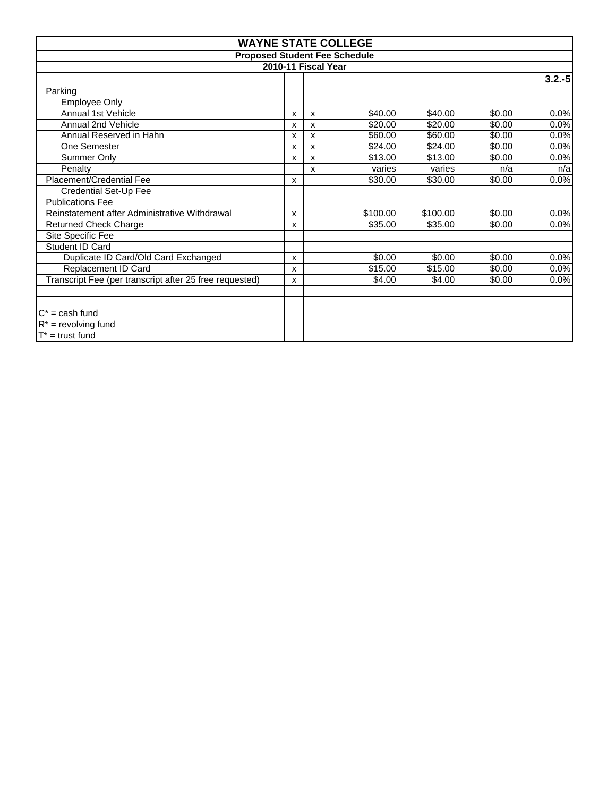|                                                         |   |   | <b>WAYNE STATE COLLEGE</b>           |          |        |           |  |  |
|---------------------------------------------------------|---|---|--------------------------------------|----------|--------|-----------|--|--|
|                                                         |   |   | <b>Proposed Student Fee Schedule</b> |          |        |           |  |  |
| 2010-11 Fiscal Year                                     |   |   |                                      |          |        |           |  |  |
|                                                         |   |   |                                      |          |        | $3.2 - 5$ |  |  |
| Parking                                                 |   |   |                                      |          |        |           |  |  |
| <b>Employee Only</b>                                    |   |   |                                      |          |        |           |  |  |
| Annual 1st Vehicle                                      | x | x | \$40.00                              | \$40.00  | \$0.00 | 0.0%      |  |  |
| Annual 2nd Vehicle                                      | x | X | \$20.00                              | \$20.00  | \$0.00 | 0.0%      |  |  |
| Annual Reserved in Hahn                                 | x | x | \$60.00                              | \$60.00  | \$0.00 | 0.0%      |  |  |
| One Semester                                            | x | X | \$24.00                              | \$24.00  | \$0.00 | 0.0%      |  |  |
| Summer Only                                             | x | X | \$13.00                              | \$13.00  | \$0.00 | 0.0%      |  |  |
| Penalty                                                 |   | X | varies                               | varies   | n/a    | n/a       |  |  |
| Placement/Credential Fee                                | x |   | \$30.00                              | \$30.00  | \$0.00 | 0.0%      |  |  |
| Credential Set-Up Fee                                   |   |   |                                      |          |        |           |  |  |
| <b>Publications Fee</b>                                 |   |   |                                      |          |        |           |  |  |
| Reinstatement after Administrative Withdrawal           | x |   | \$100.00                             | \$100.00 | \$0.00 | 0.0%      |  |  |
| <b>Returned Check Charge</b>                            | x |   | \$35.00                              | \$35.00  | \$0.00 | 0.0%      |  |  |
| Site Specific Fee                                       |   |   |                                      |          |        |           |  |  |
| Student ID Card                                         |   |   |                                      |          |        |           |  |  |
| Duplicate ID Card/Old Card Exchanged                    | x |   | \$0.00                               | \$0.00   | \$0.00 | 0.0%      |  |  |
| Replacement ID Card                                     | x |   | \$15.00                              | \$15.00  | \$0.00 | 0.0%      |  |  |
| Transcript Fee (per transcript after 25 free requested) | x |   | \$4.00                               | \$4.00   | \$0.00 | 0.0%      |  |  |
|                                                         |   |   |                                      |          |        |           |  |  |
|                                                         |   |   |                                      |          |        |           |  |  |
| $C^*$ = cash fund                                       |   |   |                                      |          |        |           |  |  |
| $R^*$ = revolving fund                                  |   |   |                                      |          |        |           |  |  |
| $T^*$ = trust fund                                      |   |   |                                      |          |        |           |  |  |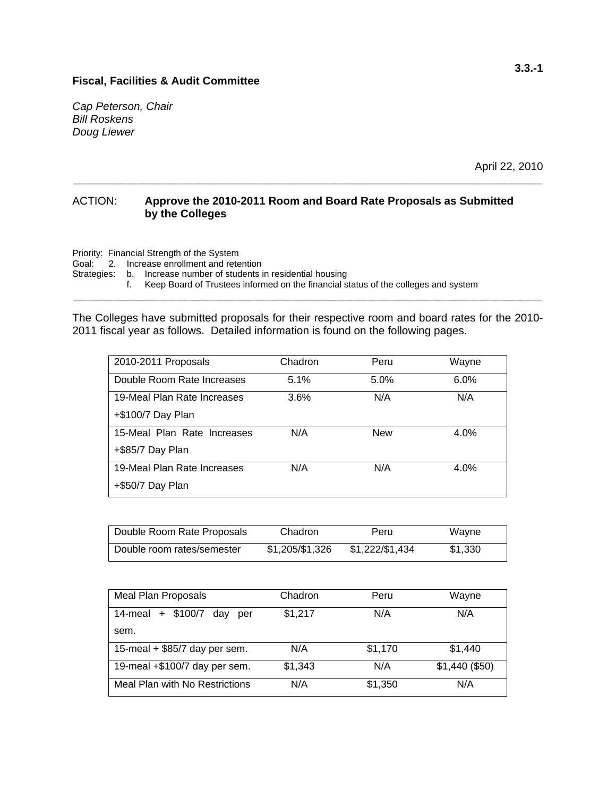*Cap Peterson, Chair Bill Roskens Doug Liewer* 

April 22, 2010

#### ACTION: **Approve the 2010-2011 Room and Board Rate Proposals as Submitted by the Colleges**

**\_\_\_\_\_\_\_\_\_\_\_\_\_\_\_\_\_\_\_\_\_\_\_\_\_\_\_\_\_\_\_\_\_\_\_\_\_\_\_\_\_\_\_\_\_\_\_\_\_\_\_\_\_\_\_\_\_\_\_\_\_\_\_\_\_\_\_\_\_\_\_\_\_\_\_\_** 

Priority: Financial Strength of the System

Goal: 2. Increase enrollment and retention

Strategies: b. Increase number of students in residential housing

f. Keep Board of Trustees informed on the financial status of the colleges and system

The Colleges have submitted proposals for their respective room and board rates for the 2010- 2011 fiscal year as follows. Detailed information is found on the following pages.

**\_\_\_\_\_\_\_\_\_\_\_\_\_\_\_\_\_\_\_\_\_\_\_\_\_\_\_\_\_\_\_\_\_\_\_\_\_\_\_\_\_\_\_\_\_\_\_\_\_\_\_\_\_\_\_\_\_\_\_\_\_\_\_\_\_\_\_\_\_\_\_\_\_\_\_\_** 

| 2010-2011 Proposals         | Chadron | Peru       | Wayne |
|-----------------------------|---------|------------|-------|
| Double Room Rate Increases  | 5.1%    | 5.0%       | 6.0%  |
| 19-Meal Plan Rate Increases | 3.6%    | N/A        | N/A   |
| +\$100/7 Day Plan           |         |            |       |
| 15-Meal Plan Rate Increases | N/A     | <b>New</b> | 4.0%  |
| +\$85/7 Day Plan            |         |            |       |
| 19-Meal Plan Rate Increases | N/A     | N/A        | 4.0%  |
| +\$50/7 Day Plan            |         |            |       |

| Double Room Rate Proposals | Chadron         | Peru            | Wayne   |
|----------------------------|-----------------|-----------------|---------|
| Double room rates/semester | \$1,205/\$1,326 | \$1,222/\$1,434 | \$1.330 |

| Meal Plan Proposals             | Chadron | Peru    | Wayne           |
|---------------------------------|---------|---------|-----------------|
| 14-meal + \$100/7<br>dav<br>per | \$1,217 | N/A     | N/A             |
| sem.                            |         |         |                 |
| 15-meal $+$ \$85/7 day per sem. | N/A     | \$1,170 | \$1,440         |
| 19-meal +\$100/7 day per sem.   | \$1,343 | N/A     | $$1,440$ (\$50) |
| Meal Plan with No Restrictions  | N/A     | \$1,350 | N/A             |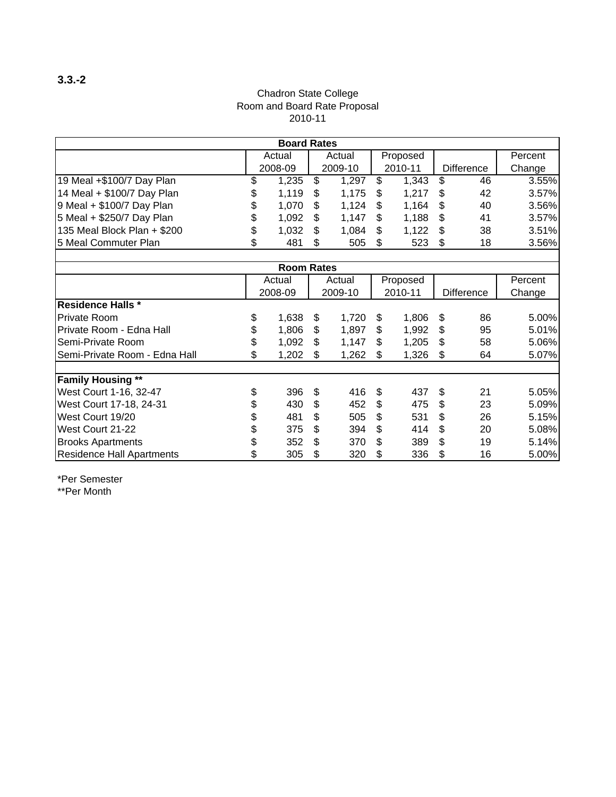#### Chadron State College Room and Board Rate Proposal 2010-11

|                               | <b>Board Rates</b> |                   |    |         |    |          |    |                   |         |
|-------------------------------|--------------------|-------------------|----|---------|----|----------|----|-------------------|---------|
|                               |                    | Actual            |    | Actual  |    | Proposed |    |                   | Percent |
|                               |                    | 2008-09           |    | 2009-10 |    | 2010-11  |    | Difference        | Change  |
| 19 Meal +\$100/7 Day Plan     | \$                 | 1,235             | \$ | 1,297   | \$ | 1,343    | \$ | 46                | 3.55%   |
| 14 Meal + \$100/7 Day Plan    | \$                 | 1,119             | \$ | 1,175   | \$ | 1,217    | \$ | 42                | 3.57%   |
| 9 Meal + \$100/7 Day Plan     | \$                 | 1,070             | \$ | 1,124   | \$ | 1,164    | \$ | 40                | 3.56%   |
| 5 Meal + \$250/7 Day Plan     | \$                 | 1,092             | \$ | 1,147   | \$ | 1,188    | \$ | 41                | 3.57%   |
| 135 Meal Block Plan + \$200   | \$                 | 1,032             | \$ | 1,084   | \$ | 1,122    | \$ | 38                | 3.51%   |
| 5 Meal Commuter Plan          | \$                 | 481               | \$ | 505     | \$ | 523      | \$ | 18                | 3.56%   |
|                               |                    |                   |    |         |    |          |    |                   |         |
|                               |                    | <b>Room Rates</b> |    |         |    |          |    |                   |         |
|                               |                    | Actual            |    | Actual  |    | Proposed |    |                   | Percent |
|                               |                    | 2008-09           |    | 2009-10 |    | 2010-11  |    | <b>Difference</b> | Change  |
| <b>Residence Halls *</b>      |                    |                   |    |         |    |          |    |                   |         |
| <b>Private Room</b>           | \$                 | 1,638             | \$ | 1,720   | \$ | 1,806    | \$ | 86                | 5.00%   |
| Private Room - Edna Hall      | \$                 | 1,806             | \$ | 1,897   | \$ | 1,992    | \$ | 95                | 5.01%   |
| Semi-Private Room             | \$                 | 1,092             | \$ | 1,147   | \$ | 1,205    | \$ | 58                | 5.06%   |
| Semi-Private Room - Edna Hall | \$                 | 1,202             | \$ | 1,262   | \$ | 1,326    | \$ | 64                | 5.07%   |
|                               |                    |                   |    |         |    |          |    |                   |         |
| <b>Family Housing **</b>      |                    |                   |    |         |    |          |    |                   |         |
| West Court 1-16, 32-47        | \$                 | 396               | \$ | 416     | \$ | 437      | \$ | 21                | 5.05%   |
| West Court 17-18, 24-31       | 430<br>\$          |                   | \$ | 452     | \$ | 475      | \$ | 23                | 5.09%   |
| West Court 19/20              | \$<br>481          |                   | \$ | 505     | \$ | 531      | \$ | 26                | 5.15%   |
| West Court 21-22              | \$<br>375          |                   | \$ | 394     | \$ | 414      | \$ | 20                | 5.08%   |
| <b>Brooks Apartments</b>      | \$                 | 352               | \$ | 370     | \$ | 389      | \$ | 19                | 5.14%   |
| Residence Hall Apartments     | \$                 | 305               |    | 320     | \$ | 336      | \$ | 16                | 5.00%   |

\*Per Semester \*\*Per Month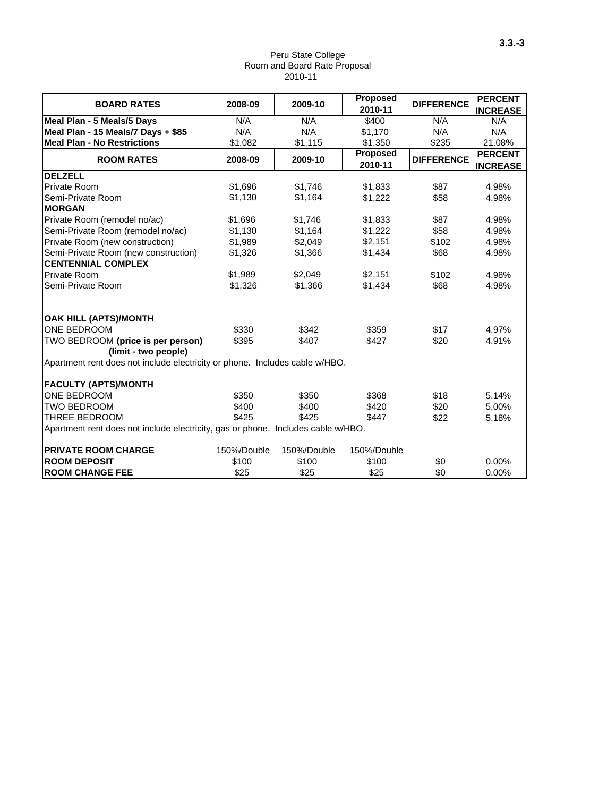#### Peru State College Room and Board Rate Proposal 2010-11

| <b>BOARD RATES</b>                                                               | 2008-09     | 2009-10     | <b>Proposed</b><br>2010-11 | <b>DIFFERENCE</b> | <b>PERCENT</b><br><b>INCREASE</b> |
|----------------------------------------------------------------------------------|-------------|-------------|----------------------------|-------------------|-----------------------------------|
| Meal Plan - 5 Meals/5 Days                                                       | N/A         | N/A         | \$400                      | N/A               | N/A                               |
| Meal Plan - 15 Meals/7 Days + \$85                                               | N/A         | N/A         | \$1,170                    | N/A               | N/A                               |
| <b>Meal Plan - No Restrictions</b>                                               | \$1,082     | \$1,115     | \$1,350                    | \$235             | 21.08%                            |
| <b>ROOM RATES</b>                                                                | 2008-09     | 2009-10     | <b>Proposed</b><br>2010-11 | <b>DIFFERENCE</b> | <b>PERCENT</b><br><b>INCREASE</b> |
| <b>DELZELL</b>                                                                   |             |             |                            |                   |                                   |
| Private Room                                                                     | \$1.696     | \$1,746     | \$1,833                    | \$87              | 4.98%                             |
| Semi-Private Room                                                                | \$1.130     | \$1,164     | \$1,222                    | \$58              | 4.98%                             |
| <b>MORGAN</b>                                                                    |             |             |                            |                   |                                   |
| Private Room (remodel no/ac)                                                     | \$1,696     | \$1,746     | \$1,833                    | \$87              | 4.98%                             |
| Semi-Private Room (remodel no/ac)                                                | \$1,130     | \$1,164     | \$1,222                    | \$58              | 4.98%                             |
| Private Room (new construction)                                                  | \$1,989     | \$2,049     | \$2,151                    | \$102             | 4.98%                             |
| Semi-Private Room (new construction)                                             | \$1,326     | \$1,366     | \$1,434                    | \$68              | 4.98%                             |
| <b>CENTENNIAL COMPLEX</b>                                                        |             |             |                            |                   |                                   |
| <b>Private Room</b>                                                              | \$1,989     | \$2,049     | \$2,151                    | \$102             | 4.98%                             |
| Semi-Private Room                                                                | \$1,326     | \$1,366     | \$1,434                    | \$68              | 4.98%                             |
| OAK HILL (APTS)/MONTH                                                            |             |             |                            |                   |                                   |
| ONE BEDROOM                                                                      | \$330       | \$342       | \$359                      | \$17              | 4.97%                             |
| TWO BEDROOM (price is per person)                                                | \$395       | \$407       | \$427                      | \$20              | 4.91%                             |
| (limit - two people)                                                             |             |             |                            |                   |                                   |
| Apartment rent does not include electricity or phone. Includes cable w/HBO.      |             |             |                            |                   |                                   |
| <b>FACULTY (APTS)/MONTH</b>                                                      |             |             |                            |                   |                                   |
| ONE BEDROOM                                                                      | \$350       | \$350       | \$368                      | \$18              | 5.14%                             |
| <b>TWO BEDROOM</b>                                                               | \$400       | \$400       | \$420                      | \$20              | 5.00%                             |
| <b>THREE BEDROOM</b>                                                             | \$425       | \$425       | \$447                      | \$22              | 5.18%                             |
| Apartment rent does not include electricity, gas or phone. Includes cable w/HBO. |             |             |                            |                   |                                   |
| <b>PRIVATE ROOM CHARGE</b>                                                       | 150%/Double | 150%/Double | 150%/Double                |                   |                                   |
| <b>ROOM DEPOSIT</b>                                                              | \$100       | \$100       | \$100                      | \$0               | 0.00%                             |
| <b>ROOM CHANGE FEE</b>                                                           | \$25        | \$25        | \$25                       | \$0               | 0.00%                             |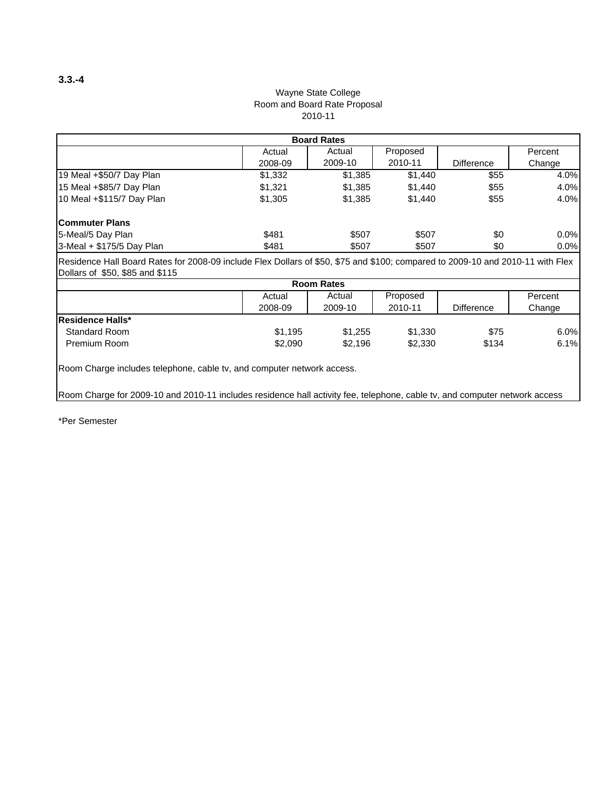#### Wayne State College 2010-11 Room and Board Rate Proposal

| <b>Board Rates</b>                                                                                                                                                |         |                   |          |                   |         |  |  |  |
|-------------------------------------------------------------------------------------------------------------------------------------------------------------------|---------|-------------------|----------|-------------------|---------|--|--|--|
|                                                                                                                                                                   | Actual  | Actual            | Proposed |                   | Percent |  |  |  |
|                                                                                                                                                                   | 2008-09 | 2009-10           | 2010-11  | <b>Difference</b> | Change  |  |  |  |
| 19 Meal +\$50/7 Day Plan                                                                                                                                          | \$1,332 | \$1,385           | \$1,440  | \$55              | 4.0%    |  |  |  |
| 15 Meal +\$85/7 Day Plan                                                                                                                                          | \$1.321 | \$1.385           | \$1,440  | \$55              | 4.0%    |  |  |  |
| 10 Meal +\$115/7 Day Plan                                                                                                                                         | \$1,305 | \$1,385           | \$1,440  | \$55              | 4.0%    |  |  |  |
| lCommuter Plans                                                                                                                                                   |         |                   |          |                   |         |  |  |  |
| 5-Meal/5 Day Plan                                                                                                                                                 | \$481   | \$507             | \$507    | \$0               | 0.0%    |  |  |  |
| 3-Meal + \$175/5 Day Plan                                                                                                                                         | \$481   | \$507             | \$507    | \$0               | 0.0%    |  |  |  |
| Residence Hall Board Rates for 2008-09 include Flex Dollars of \$50, \$75 and \$100; compared to 2009-10 and 2010-11 with Flex<br>Dollars of \$50, \$85 and \$115 |         |                   |          |                   |         |  |  |  |
|                                                                                                                                                                   |         | <b>Room Rates</b> |          |                   |         |  |  |  |
|                                                                                                                                                                   | ادین ۵  | Actual            | Proposed |                   | Parcant |  |  |  |

|                          | Actual  | Actual  | Proposed |            | Percent |
|--------------------------|---------|---------|----------|------------|---------|
|                          | 2008-09 | 2009-10 | 2010-11  | Difference | Change  |
| <b>IResidence Halls*</b> |         |         |          |            |         |
| Standard Room            | \$1.195 | \$1.255 | \$1,330  | \$75       | 6.0%    |
| Premium Room             | \$2,090 | \$2,196 | \$2,330  | \$134      | 6.1%    |

Room Charge includes telephone, cable tv, and computer network access.

Room Charge for 2009-10 and 2010-11 includes residence hall activity fee, telephone, cable tv, and computer network access

\*Per Semester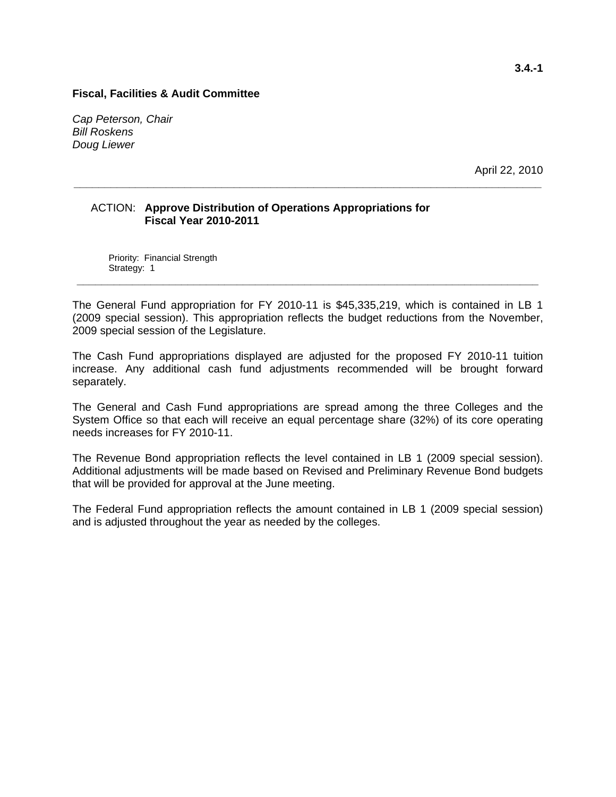*Cap Peterson, Chair Bill Roskens Doug Liewer* 

April 22, 2010

#### ACTION: **Approve Distribution of Operations Appropriations for Fiscal Year 2010-2011**

Priority: Financial Strength Strategy: 1 **\_\_\_\_\_\_\_\_\_\_\_\_\_\_\_\_\_\_\_\_\_\_\_\_\_\_\_\_\_\_\_\_\_\_\_\_\_\_\_\_\_\_\_\_\_\_\_\_\_\_\_\_\_\_\_\_\_\_\_\_\_\_\_\_\_\_\_\_\_\_\_\_\_\_\_** 

The General Fund appropriation for FY 2010-11 is \$45,335,219, which is contained in LB 1 (2009 special session). This appropriation reflects the budget reductions from the November, 2009 special session of the Legislature.

**\_\_\_\_\_\_\_\_\_\_\_\_\_\_\_\_\_\_\_\_\_\_\_\_\_\_\_\_\_\_\_\_\_\_\_\_\_\_\_\_\_\_\_\_\_\_\_\_\_\_\_\_\_\_\_\_\_\_\_\_\_\_\_\_\_\_\_\_\_\_\_\_\_\_\_\_** 

The Cash Fund appropriations displayed are adjusted for the proposed FY 2010-11 tuition increase. Any additional cash fund adjustments recommended will be brought forward separately.

The General and Cash Fund appropriations are spread among the three Colleges and the System Office so that each will receive an equal percentage share (32%) of its core operating needs increases for FY 2010-11.

The Revenue Bond appropriation reflects the level contained in LB 1 (2009 special session). Additional adjustments will be made based on Revised and Preliminary Revenue Bond budgets that will be provided for approval at the June meeting.

The Federal Fund appropriation reflects the amount contained in LB 1 (2009 special session) and is adjusted throughout the year as needed by the colleges.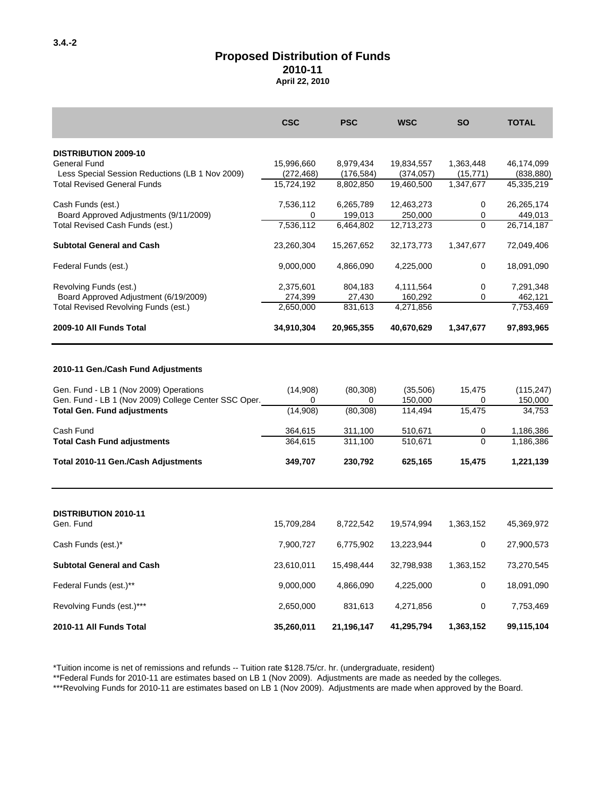#### **2010-11 April 22, 2010 Proposed Distribution of Funds**

|                                                                                                                                                                                         | <b>CSC</b>                                      | <b>PSC</b>                                        | <b>WSC</b>                                           | <b>SO</b>                              | <b>TOTAL</b>                                              |
|-----------------------------------------------------------------------------------------------------------------------------------------------------------------------------------------|-------------------------------------------------|---------------------------------------------------|------------------------------------------------------|----------------------------------------|-----------------------------------------------------------|
| <b>DISTRIBUTION 2009-10</b>                                                                                                                                                             |                                                 |                                                   |                                                      |                                        |                                                           |
| General Fund                                                                                                                                                                            | 15,996,660                                      | 8,979,434                                         | 19,834,557                                           | 1,363,448                              | 46,174,099                                                |
| Less Special Session Reductions (LB 1 Nov 2009)                                                                                                                                         | (272, 468)                                      | (176, 584)                                        | (374, 057)                                           | (15, 771)                              | (838, 880)                                                |
| <b>Total Revised General Funds</b>                                                                                                                                                      | 15,724,192                                      | 8,802,850                                         | 19.460.500                                           | 1,347,677                              | 45,335,219                                                |
| Cash Funds (est.)                                                                                                                                                                       | 7,536,112                                       | 6,265,789                                         | 12,463,273                                           | 0                                      | 26,265,174                                                |
| Board Approved Adjustments (9/11/2009)                                                                                                                                                  | 0                                               | 199,013                                           | 250,000                                              | 0                                      | 449,013                                                   |
| Total Revised Cash Funds (est.)                                                                                                                                                         | 7,536,112                                       | 6,464,802                                         | 12,713,273                                           | 0                                      | 26,714,187                                                |
| <b>Subtotal General and Cash</b>                                                                                                                                                        | 23,260,304                                      | 15,267,652                                        | 32, 173, 773                                         | 1,347,677                              | 72,049,406                                                |
| Federal Funds (est.)                                                                                                                                                                    | 9,000,000                                       | 4,866,090                                         | 4,225,000                                            | $\mathbf 0$                            | 18,091,090                                                |
| Revolving Funds (est.)                                                                                                                                                                  | 2,375,601                                       | 804,183                                           | 4,111,564                                            | $\mathbf 0$                            | 7,291,348                                                 |
| Board Approved Adjustment (6/19/2009)                                                                                                                                                   | 274,399                                         | 27,430                                            | 160,292                                              | 0                                      | 462,121                                                   |
| Total Revised Revolving Funds (est.)                                                                                                                                                    | 2,650,000                                       | 831,613                                           | 4,271,856                                            |                                        | 7,753,469                                                 |
| 2009-10 All Funds Total                                                                                                                                                                 | 34,910,304                                      | 20,965,355                                        | 40,670,629                                           | 1,347,677                              | 97,893,965                                                |
| Gen. Fund - LB 1 (Nov 2009) Operations<br>Gen. Fund - LB 1 (Nov 2009) College Center SSC Oper.<br><b>Total Gen. Fund adjustments</b><br>Cash Fund<br><b>Total Cash Fund adjustments</b> | (14,908)<br>0<br>(14,908)<br>364,615<br>364.615 | (80, 308)<br>0<br>(80, 308)<br>311,100<br>311,100 | (35,506)<br>150,000<br>114,494<br>510,671<br>510,671 | 15,475<br>0<br>15,475<br>0<br>$\Omega$ | (115, 247)<br>150,000<br>34,753<br>1,186,386<br>1,186,386 |
| Total 2010-11 Gen./Cash Adjustments                                                                                                                                                     | 349,707                                         | 230,792                                           | 625,165                                              | 15,475                                 | 1,221,139                                                 |
| <b>DISTRIBUTION 2010-11</b><br>Gen. Fund                                                                                                                                                | 15,709,284                                      | 8,722,542                                         | 19,574,994                                           | 1,363,152                              | 45,369,972                                                |
| Cash Funds (est.)*                                                                                                                                                                      | 7,900,727                                       | 6,775,902                                         | 13,223,944                                           | 0                                      | 27,900,573                                                |
| <b>Subtotal General and Cash</b>                                                                                                                                                        | 23,610,011                                      | 15,498,444                                        | 32,798,938                                           | 1,363,152                              | 73,270,545                                                |
| Federal Funds (est.)**                                                                                                                                                                  | 9,000,000                                       | 4,866,090                                         | 4,225,000                                            | 0                                      | 18,091,090                                                |
| Revolving Funds (est.)***                                                                                                                                                               | 2,650,000                                       | 831,613                                           | 4,271,856                                            | $\mathbf 0$                            | 7,753,469                                                 |
| 2010-11 All Funds Total                                                                                                                                                                 | 35,260,011                                      | 21,196,147                                        | 41,295,794                                           | 1,363,152                              | 99,115,104                                                |

\*Tuition income is net of remissions and refunds -- Tuition rate \$128.75/cr. hr. (undergraduate, resident)

\*\*Federal Funds for 2010-11 are estimates based on LB 1 (Nov 2009). Adjustments are made as needed by the colleges.

\*\*\*Revolving Funds for 2010-11 are estimates based on LB 1 (Nov 2009). Adjustments are made when approved by the Board.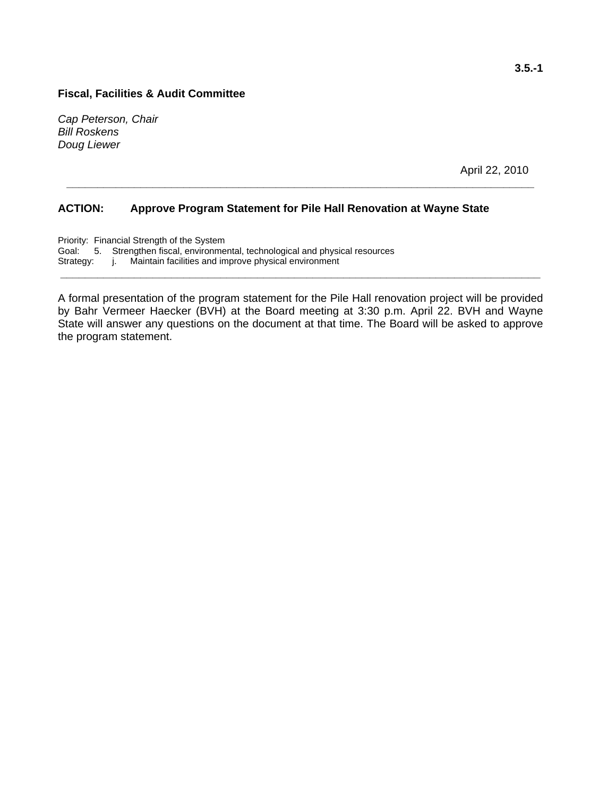*Cap Peterson, Chair Bill Roskens Doug Liewer* 

April 22, 2010

#### **ACTION: Approve Program Statement for Pile Hall Renovation at Wayne State**

Priority: Financial Strength of the System Goal: 5. Strengthen fiscal, environmental, technological and physical resources Strategy: j. Maintain facilities and improve physical environment

A formal presentation of the program statement for the Pile Hall renovation project will be provided by Bahr Vermeer Haecker (BVH) at the Board meeting at 3:30 p.m. April 22. BVH and Wayne State will answer any questions on the document at that time. The Board will be asked to approve the program statement.

**\_\_\_\_\_\_\_\_\_\_\_\_\_\_\_\_\_\_\_\_\_\_\_\_\_\_\_\_\_\_\_\_\_\_\_\_\_\_\_\_\_\_\_\_\_\_\_\_\_\_\_\_\_\_\_\_\_\_\_\_\_\_\_\_\_\_\_\_\_\_\_\_\_\_\_\_\_\_** 

**\_\_\_\_\_\_\_\_\_\_\_\_\_\_\_\_\_\_\_\_\_\_\_\_\_\_\_\_\_\_\_\_\_\_\_\_\_\_\_\_\_\_\_\_\_\_\_\_\_\_\_\_\_\_\_\_\_\_\_\_\_\_\_\_\_\_\_\_\_\_\_\_\_\_\_\_**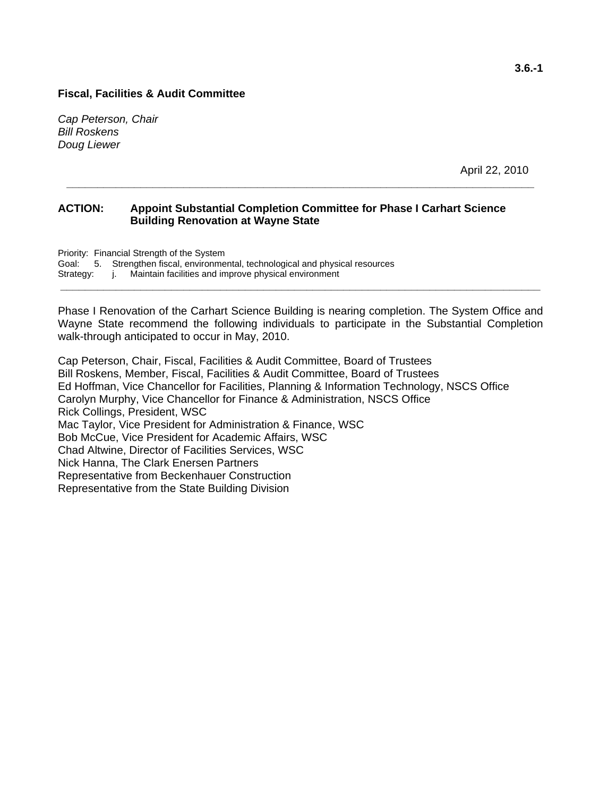*Cap Peterson, Chair Bill Roskens Doug Liewer* 

April 22, 2010

#### **ACTION: Appoint Substantial Completion Committee for Phase I Carhart Science Building Renovation at Wayne State**

**\_\_\_\_\_\_\_\_\_\_\_\_\_\_\_\_\_\_\_\_\_\_\_\_\_\_\_\_\_\_\_\_\_\_\_\_\_\_\_\_\_\_\_\_\_\_\_\_\_\_\_\_\_\_\_\_\_\_\_\_\_\_\_\_\_\_\_\_\_\_\_\_\_\_\_\_** 

Priority: Financial Strength of the System Goal: 5. Strengthen fiscal, environmental, technological and physical resources Strategy: *j. Maintain facilities and improve physical environment* **\_\_\_\_\_\_\_\_\_\_\_\_\_\_\_\_\_\_\_\_\_\_\_\_\_\_\_\_\_\_\_\_\_\_\_\_\_\_\_\_\_\_\_\_\_\_\_\_\_\_\_\_\_\_\_\_\_\_\_\_\_\_\_\_\_\_\_\_\_\_\_\_\_\_\_\_\_\_** 

Phase I Renovation of the Carhart Science Building is nearing completion. The System Office and Wayne State recommend the following individuals to participate in the Substantial Completion walk-through anticipated to occur in May, 2010.

Cap Peterson, Chair, Fiscal, Facilities & Audit Committee, Board of Trustees Bill Roskens, Member, Fiscal, Facilities & Audit Committee, Board of Trustees Ed Hoffman, Vice Chancellor for Facilities, Planning & Information Technology, NSCS Office Carolyn Murphy, Vice Chancellor for Finance & Administration, NSCS Office Rick Collings, President, WSC Mac Taylor, Vice President for Administration & Finance, WSC Bob McCue, Vice President for Academic Affairs, WSC Chad Altwine, Director of Facilities Services, WSC Nick Hanna, The Clark Enersen Partners Representative from Beckenhauer Construction Representative from the State Building Division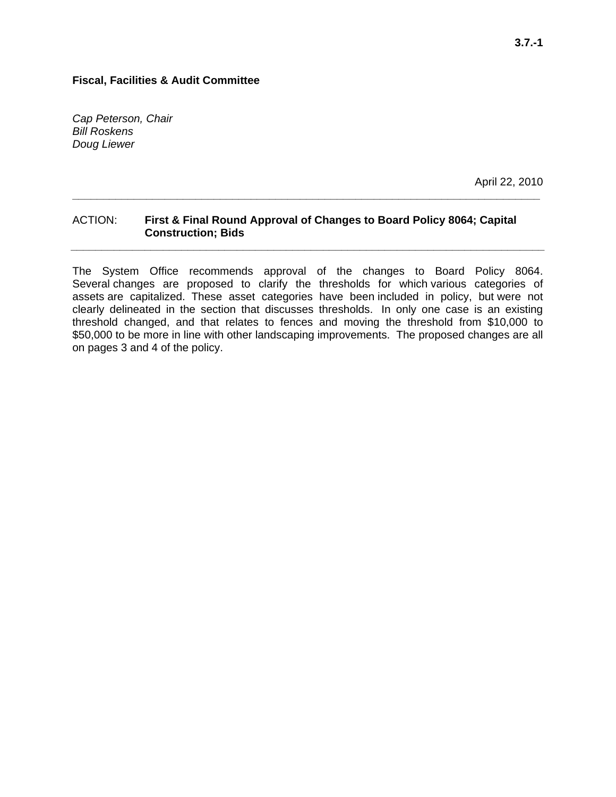*Cap Peterson, Chair Bill Roskens Doug Liewer* 

April 22, 2010

#### ACTION: **First & Final Round Approval of Changes to Board Policy 8064; Capital Construction; Bids**

**\_\_\_\_\_\_\_\_\_\_\_\_\_\_\_\_\_\_\_\_\_\_\_\_\_\_\_\_\_\_\_\_\_\_\_\_\_\_\_\_\_\_\_\_\_\_\_\_\_\_\_\_\_\_\_\_\_\_\_\_\_\_\_\_\_\_\_\_\_\_\_\_\_\_\_\_** 

**\_\_\_\_\_\_\_\_\_\_\_\_\_\_\_\_\_\_\_\_\_\_\_\_\_\_\_\_\_\_\_\_\_\_\_\_\_\_\_\_\_\_\_\_\_\_\_\_\_\_\_\_\_\_\_\_\_\_\_\_\_\_\_\_\_\_\_\_\_\_\_\_\_\_\_\_\_** 

The System Office recommends approval of the changes to Board Policy 8064. Several changes are proposed to clarify the thresholds for which various categories of assets are capitalized. These asset categories have been included in policy, but were not clearly delineated in the section that discusses thresholds. In only one case is an existing threshold changed, and that relates to fences and moving the threshold from \$10,000 to \$50,000 to be more in line with other landscaping improvements. The proposed changes are all on pages 3 and 4 of the policy.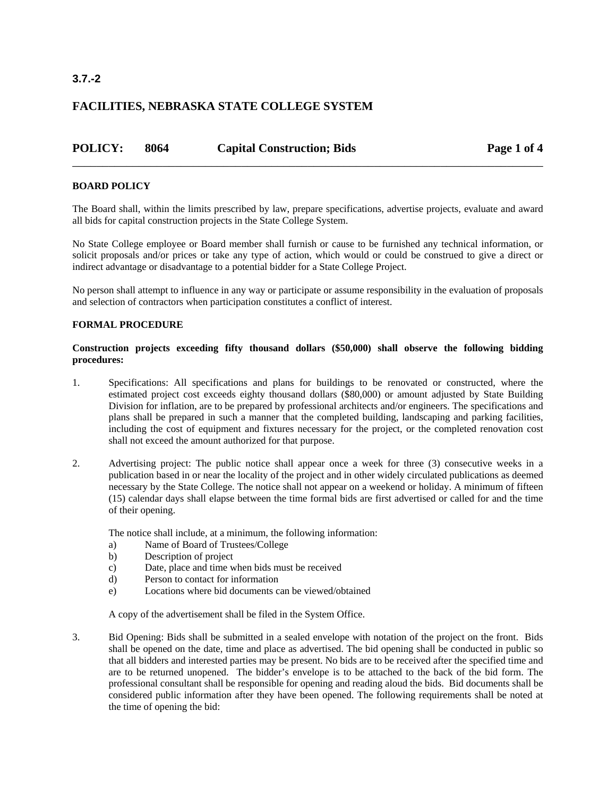#### **3.7.-2**

#### **FACILITIES, NEBRASKA STATE COLLEGE SYSTEM**

| <b>POLICY:</b> | 8064 | <b>Capital Construction; Bids</b> | Page 1 of 4 |
|----------------|------|-----------------------------------|-------------|
|                |      |                                   |             |

#### **BOARD POLICY**

The Board shall, within the limits prescribed by law, prepare specifications, advertise projects, evaluate and award all bids for capital construction projects in the State College System.

No State College employee or Board member shall furnish or cause to be furnished any technical information, or solicit proposals and/or prices or take any type of action, which would or could be construed to give a direct or indirect advantage or disadvantage to a potential bidder for a State College Project.

No person shall attempt to influence in any way or participate or assume responsibility in the evaluation of proposals and selection of contractors when participation constitutes a conflict of interest.

#### **FORMAL PROCEDURE**

#### **Construction projects exceeding fifty thousand dollars (\$50,000) shall observe the following bidding procedures:**

- 1. Specifications: All specifications and plans for buildings to be renovated or constructed, where the estimated project cost exceeds eighty thousand dollars (\$80,000) or amount adjusted by State Building Division for inflation, are to be prepared by professional architects and/or engineers. The specifications and plans shall be prepared in such a manner that the completed building, landscaping and parking facilities, including the cost of equipment and fixtures necessary for the project, or the completed renovation cost shall not exceed the amount authorized for that purpose.
- 2. Advertising project: The public notice shall appear once a week for three (3) consecutive weeks in a publication based in or near the locality of the project and in other widely circulated publications as deemed necessary by the State College. The notice shall not appear on a weekend or holiday. A minimum of fifteen (15) calendar days shall elapse between the time formal bids are first advertised or called for and the time of their opening.

The notice shall include, at a minimum, the following information:

- a) Name of Board of Trustees/College
- b) Description of project
- c) Date, place and time when bids must be received
- d) Person to contact for information
- e) Locations where bid documents can be viewed/obtained

A copy of the advertisement shall be filed in the System Office.

3. Bid Opening: Bids shall be submitted in a sealed envelope with notation of the project on the front. Bids shall be opened on the date, time and place as advertised. The bid opening shall be conducted in public so that all bidders and interested parties may be present. No bids are to be received after the specified time and are to be returned unopened. The bidder's envelope is to be attached to the back of the bid form. The professional consultant shall be responsible for opening and reading aloud the bids. Bid documents shall be considered public information after they have been opened. The following requirements shall be noted at the time of opening the bid: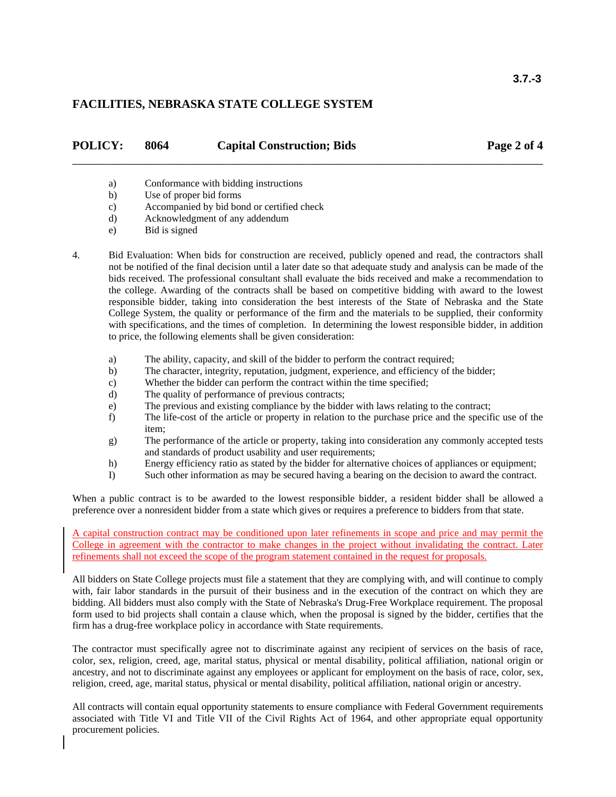| <b>POLICY:</b> | 8064 | <b>Capital Construction; Bids</b> | Page 2 of 4 |
|----------------|------|-----------------------------------|-------------|
|                |      |                                   |             |

- a) Conformance with bidding instructions
- b) Use of proper bid forms
- c) Accompanied by bid bond or certified check
- d) Acknowledgment of any addendum
- e) Bid is signed

4. Bid Evaluation: When bids for construction are received, publicly opened and read, the contractors shall not be notified of the final decision until a later date so that adequate study and analysis can be made of the bids received. The professional consultant shall evaluate the bids received and make a recommendation to the college. Awarding of the contracts shall be based on competitive bidding with award to the lowest responsible bidder, taking into consideration the best interests of the State of Nebraska and the State College System, the quality or performance of the firm and the materials to be supplied, their conformity with specifications, and the times of completion. In determining the lowest responsible bidder, in addition to price, the following elements shall be given consideration:

- a) The ability, capacity, and skill of the bidder to perform the contract required;
- b) The character, integrity, reputation, judgment, experience, and efficiency of the bidder;
- c) Whether the bidder can perform the contract within the time specified;
- d) The quality of performance of previous contracts;
- e) The previous and existing compliance by the bidder with laws relating to the contract;
- f) The life-cost of the article or property in relation to the purchase price and the specific use of the item;
- g) The performance of the article or property, taking into consideration any commonly accepted tests and standards of product usability and user requirements;
- h) Energy efficiency ratio as stated by the bidder for alternative choices of appliances or equipment;
- I) Such other information as may be secured having a bearing on the decision to award the contract.

When a public contract is to be awarded to the lowest responsible bidder, a resident bidder shall be allowed a preference over a nonresident bidder from a state which gives or requires a preference to bidders from that state.

A capital construction contract may be conditioned upon later refinements in scope and price and may permit the College in agreement with the contractor to make changes in the project without invalidating the contract. Later refinements shall not exceed the scope of the program statement contained in the request for proposals.

All bidders on State College projects must file a statement that they are complying with, and will continue to comply with, fair labor standards in the pursuit of their business and in the execution of the contract on which they are bidding. All bidders must also comply with the State of Nebraska's Drug-Free Workplace requirement. The proposal form used to bid projects shall contain a clause which, when the proposal is signed by the bidder, certifies that the firm has a drug-free workplace policy in accordance with State requirements.

The contractor must specifically agree not to discriminate against any recipient of services on the basis of race, color, sex, religion, creed, age, marital status, physical or mental disability, political affiliation, national origin or ancestry, and not to discriminate against any employees or applicant for employment on the basis of race, color, sex, religion, creed, age, marital status, physical or mental disability, political affiliation, national origin or ancestry.

All contracts will contain equal opportunity statements to ensure compliance with Federal Government requirements associated with Title VI and Title VII of the Civil Rights Act of 1964, and other appropriate equal opportunity procurement policies.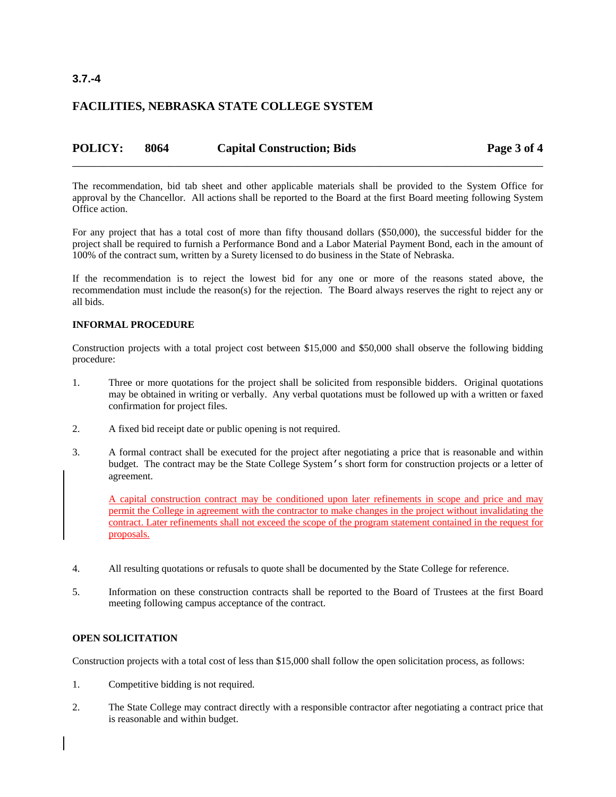#### **3.7.-4**

#### **FACILITIES, NEBRASKA STATE COLLEGE SYSTEM**

| <b>POLICY:</b> | 8064 | <b>Capital Construction; Bids</b> | Page 3 of 4 |
|----------------|------|-----------------------------------|-------------|
|                |      |                                   |             |

The recommendation, bid tab sheet and other applicable materials shall be provided to the System Office for approval by the Chancellor. All actions shall be reported to the Board at the first Board meeting following System Office action.

For any project that has a total cost of more than fifty thousand dollars (\$50,000), the successful bidder for the project shall be required to furnish a Performance Bond and a Labor Material Payment Bond, each in the amount of 100% of the contract sum, written by a Surety licensed to do business in the State of Nebraska.

If the recommendation is to reject the lowest bid for any one or more of the reasons stated above, the recommendation must include the reason(s) for the rejection. The Board always reserves the right to reject any or all bids.

#### **INFORMAL PROCEDURE**

Construction projects with a total project cost between \$15,000 and \$50,000 shall observe the following bidding procedure:

- 1. Three or more quotations for the project shall be solicited from responsible bidders. Original quotations may be obtained in writing or verbally. Any verbal quotations must be followed up with a written or faxed confirmation for project files.
- 2. A fixed bid receipt date or public opening is not required.
- 3. A formal contract shall be executed for the project after negotiating a price that is reasonable and within budget. The contract may be the State College System's short form for construction projects or a letter of agreement.

A capital construction contract may be conditioned upon later refinements in scope and price and may permit the College in agreement with the contractor to make changes in the project without invalidating the contract. Later refinements shall not exceed the scope of the program statement contained in the request for proposals.

- 4. All resulting quotations or refusals to quote shall be documented by the State College for reference.
- 5. Information on these construction contracts shall be reported to the Board of Trustees at the first Board meeting following campus acceptance of the contract.

#### **OPEN SOLICITATION**

Construction projects with a total cost of less than \$15,000 shall follow the open solicitation process, as follows:

- 1. Competitive bidding is not required.
- 2. The State College may contract directly with a responsible contractor after negotiating a contract price that is reasonable and within budget.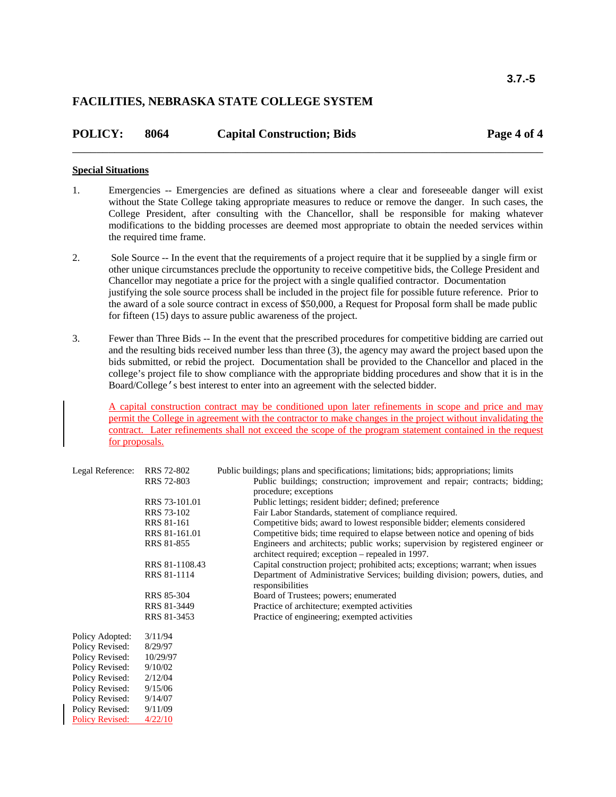| <b>POLICY:</b> | 8064 | <b>Capital Construction; Bids</b> | Page 4 of 4 |
|----------------|------|-----------------------------------|-------------|
|                |      |                                   |             |

#### **Special Situations**

- 1. Emergencies -- Emergencies are defined as situations where a clear and foreseeable danger will exist without the State College taking appropriate measures to reduce or remove the danger. In such cases, the College President, after consulting with the Chancellor, shall be responsible for making whatever modifications to the bidding processes are deemed most appropriate to obtain the needed services within the required time frame.
- 2. Sole Source -- In the event that the requirements of a project require that it be supplied by a single firm or other unique circumstances preclude the opportunity to receive competitive bids, the College President and Chancellor may negotiate a price for the project with a single qualified contractor. Documentation justifying the sole source process shall be included in the project file for possible future reference. Prior to the award of a sole source contract in excess of \$50,000, a Request for Proposal form shall be made public for fifteen (15) days to assure public awareness of the project.
- 3. Fewer than Three Bids -- In the event that the prescribed procedures for competitive bidding are carried out and the resulting bids received number less than three (3), the agency may award the project based upon the bids submitted, or rebid the project. Documentation shall be provided to the Chancellor and placed in the college's project file to show compliance with the appropriate bidding procedures and show that it is in the Board/College's best interest to enter into an agreement with the selected bidder.

A capital construction contract may be conditioned upon later refinements in scope and price and may permit the College in agreement with the contractor to make changes in the project without invalidating the contract. Later refinements shall not exceed the scope of the program statement contained in the request for proposals.

| Legal Reference:       | RRS 72-802        | Public buildings; plans and specifications; limitations; bids; appropriations; limits                                              |
|------------------------|-------------------|------------------------------------------------------------------------------------------------------------------------------------|
|                        | RRS 72-803        | Public buildings; construction; improvement and repair; contracts; bidding;                                                        |
|                        |                   | procedure; exceptions                                                                                                              |
|                        | RRS 73-101.01     | Public lettings; resident bidder; defined; preference                                                                              |
|                        | RRS 73-102        | Fair Labor Standards, statement of compliance required.                                                                            |
|                        | <b>RRS 81-161</b> | Competitive bids; award to lowest responsible bidder; elements considered                                                          |
|                        | RRS 81-161.01     | Competitive bids; time required to elapse between notice and opening of bids                                                       |
|                        | <b>RRS 81-855</b> | Engineers and architects; public works; supervision by registered engineer or<br>architect required; exception – repealed in 1997. |
|                        | RRS 81-1108.43    | Capital construction project; prohibited acts; exceptions; warrant; when issues                                                    |
|                        | RRS 81-1114       | Department of Administrative Services; building division; powers, duties, and<br>responsibilities                                  |
|                        | RRS 85-304        | Board of Trustees; powers; enumerated                                                                                              |
|                        | RRS 81-3449       | Practice of architecture; exempted activities                                                                                      |
|                        | RRS 81-3453       | Practice of engineering; exempted activities                                                                                       |
| Policy Adopted:        | 3/11/94           |                                                                                                                                    |
| Policy Revised:        | 8/29/97           |                                                                                                                                    |
| Policy Revised:        | 10/29/97          |                                                                                                                                    |
| Policy Revised:        | 9/10/02           |                                                                                                                                    |
| Policy Revised:        | 2/12/04           |                                                                                                                                    |
| Policy Revised:        | 9/15/06           |                                                                                                                                    |
| Policy Revised:        | 9/14/07           |                                                                                                                                    |
| Policy Revised:        | 9/11/09           |                                                                                                                                    |
| <b>Policy Revised:</b> | 4/22/10           |                                                                                                                                    |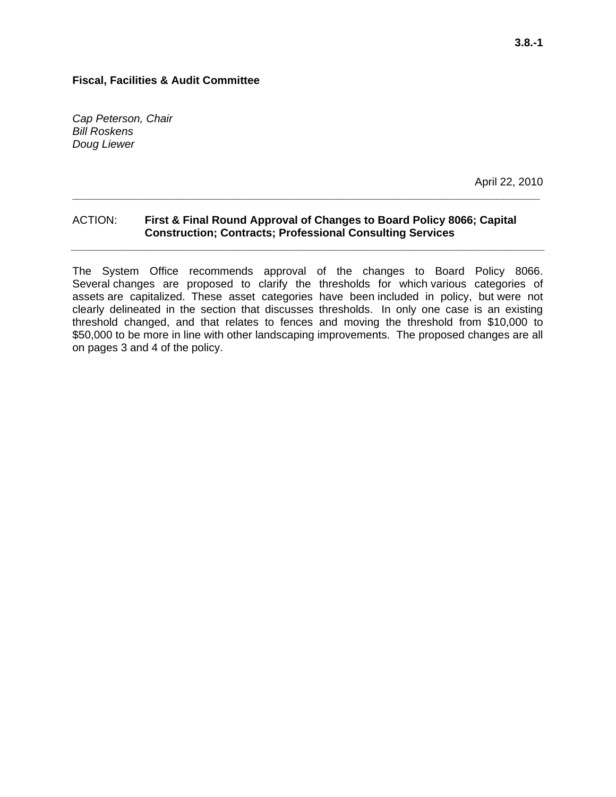*Cap Peterson, Chair Bill Roskens Doug Liewer* 

April 22, 2010

#### ACTION: **First & Final Round Approval of Changes to Board Policy 8066; Capital Construction; Contracts; Professional Consulting Services**

**\_\_\_\_\_\_\_\_\_\_\_\_\_\_\_\_\_\_\_\_\_\_\_\_\_\_\_\_\_\_\_\_\_\_\_\_\_\_\_\_\_\_\_\_\_\_\_\_\_\_\_\_\_\_\_\_\_\_\_\_\_\_\_\_\_\_\_\_\_\_\_\_\_\_\_\_** 

**\_\_\_\_\_\_\_\_\_\_\_\_\_\_\_\_\_\_\_\_\_\_\_\_\_\_\_\_\_\_\_\_\_\_\_\_\_\_\_\_\_\_\_\_\_\_\_\_\_\_\_\_\_\_\_\_\_\_\_\_\_\_\_\_\_\_\_\_\_\_\_\_\_\_\_\_\_** 

The System Office recommends approval of the changes to Board Policy 8066. Several changes are proposed to clarify the thresholds for which various categories of assets are capitalized. These asset categories have been included in policy, but were not clearly delineated in the section that discusses thresholds. In only one case is an existing threshold changed, and that relates to fences and moving the threshold from \$10,000 to \$50,000 to be more in line with other landscaping improvements. The proposed changes are all on pages 3 and 4 of the policy.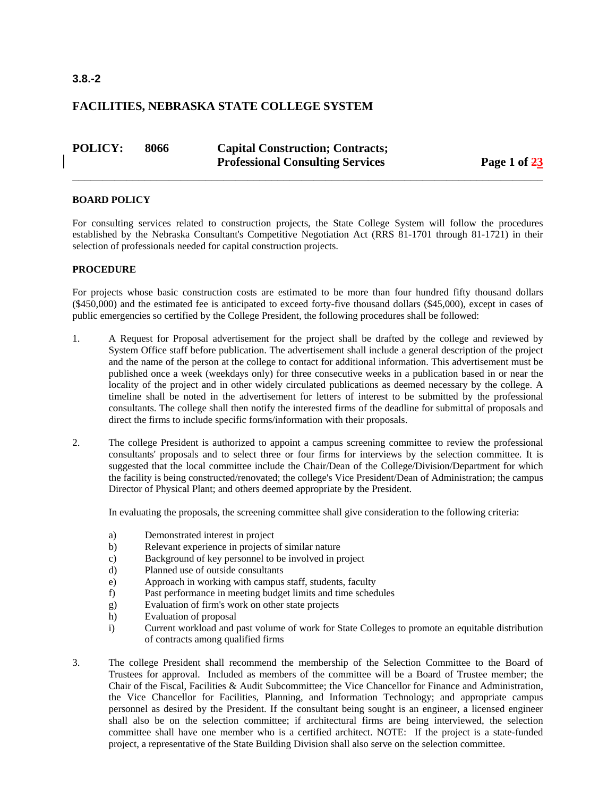| <b>POLICY:</b> | 8066 | <b>Capital Construction; Contracts;</b> |              |  |  |
|----------------|------|-----------------------------------------|--------------|--|--|
|                |      | <b>Professional Consulting Services</b> | Page 1 of 23 |  |  |

\_\_\_\_\_\_\_\_\_\_\_\_\_\_\_\_\_\_\_\_\_\_\_\_\_\_\_\_\_\_\_\_\_\_\_\_\_\_\_\_\_\_\_\_\_\_\_\_\_\_\_\_\_\_\_\_\_\_\_\_\_\_\_\_\_\_\_\_\_\_\_\_\_\_\_\_\_\_

#### **BOARD POLICY**

For consulting services related to construction projects, the State College System will follow the procedures established by the Nebraska Consultant's Competitive Negotiation Act (RRS 81-1701 through 81-1721) in their selection of professionals needed for capital construction projects.

#### **PROCEDURE**

For projects whose basic construction costs are estimated to be more than four hundred fifty thousand dollars (\$450,000) and the estimated fee is anticipated to exceed forty-five thousand dollars (\$45,000), except in cases of public emergencies so certified by the College President, the following procedures shall be followed:

- 1. A Request for Proposal advertisement for the project shall be drafted by the college and reviewed by System Office staff before publication. The advertisement shall include a general description of the project and the name of the person at the college to contact for additional information. This advertisement must be published once a week (weekdays only) for three consecutive weeks in a publication based in or near the locality of the project and in other widely circulated publications as deemed necessary by the college. A timeline shall be noted in the advertisement for letters of interest to be submitted by the professional consultants. The college shall then notify the interested firms of the deadline for submittal of proposals and direct the firms to include specific forms/information with their proposals.
- 2. The college President is authorized to appoint a campus screening committee to review the professional consultants' proposals and to select three or four firms for interviews by the selection committee. It is suggested that the local committee include the Chair/Dean of the College/Division/Department for which the facility is being constructed/renovated; the college's Vice President/Dean of Administration; the campus Director of Physical Plant; and others deemed appropriate by the President.

In evaluating the proposals, the screening committee shall give consideration to the following criteria:

- a) Demonstrated interest in project
- b) Relevant experience in projects of similar nature
- c) Background of key personnel to be involved in project
- d) Planned use of outside consultants
- e) Approach in working with campus staff, students, faculty
- f) Past performance in meeting budget limits and time schedules
- g) Evaluation of firm's work on other state projects
- h) Evaluation of proposal
- i) Current workload and past volume of work for State Colleges to promote an equitable distribution of contracts among qualified firms
- 3. The college President shall recommend the membership of the Selection Committee to the Board of Trustees for approval. Included as members of the committee will be a Board of Trustee member; the Chair of the Fiscal, Facilities & Audit Subcommittee; the Vice Chancellor for Finance and Administration, the Vice Chancellor for Facilities, Planning, and Information Technology; and appropriate campus personnel as desired by the President. If the consultant being sought is an engineer, a licensed engineer shall also be on the selection committee; if architectural firms are being interviewed, the selection committee shall have one member who is a certified architect. NOTE: If the project is a state-funded project, a representative of the State Building Division shall also serve on the selection committee.

#### **3.8.-2**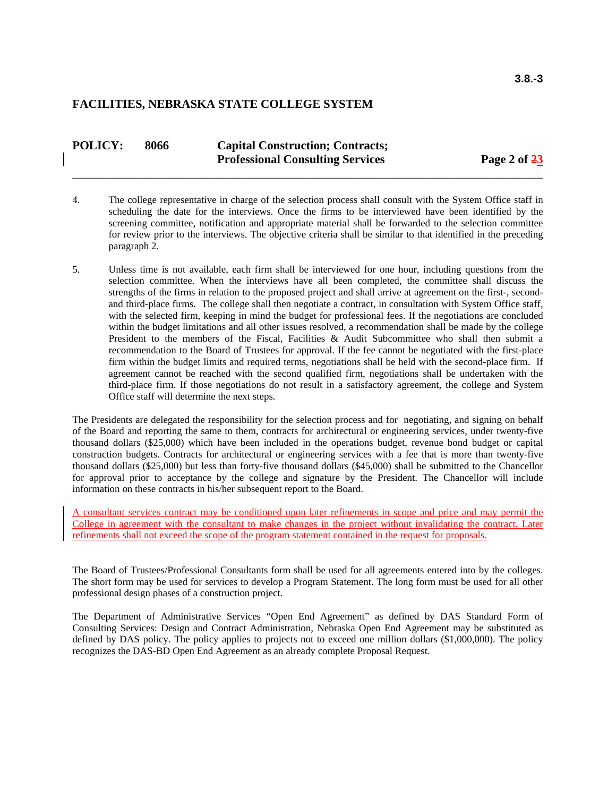| <b>POLICY:</b> | 8066 | <b>Capital Construction; Contracts;</b> |              |  |  |
|----------------|------|-----------------------------------------|--------------|--|--|
|                |      | <b>Professional Consulting Services</b> | Page 2 of 23 |  |  |
|                |      |                                         |              |  |  |

- 4. The college representative in charge of the selection process shall consult with the System Office staff in scheduling the date for the interviews. Once the firms to be interviewed have been identified by the screening committee, notification and appropriate material shall be forwarded to the selection committee for review prior to the interviews. The objective criteria shall be similar to that identified in the preceding paragraph 2.
- 5. Unless time is not available, each firm shall be interviewed for one hour, including questions from the selection committee. When the interviews have all been completed, the committee shall discuss the strengths of the firms in relation to the proposed project and shall arrive at agreement on the first-, secondand third-place firms. The college shall then negotiate a contract, in consultation with System Office staff, with the selected firm, keeping in mind the budget for professional fees. If the negotiations are concluded within the budget limitations and all other issues resolved, a recommendation shall be made by the college President to the members of the Fiscal, Facilities & Audit Subcommittee who shall then submit a recommendation to the Board of Trustees for approval. If the fee cannot be negotiated with the first-place firm within the budget limits and required terms, negotiations shall be held with the second-place firm. If agreement cannot be reached with the second qualified firm, negotiations shall be undertaken with the third-place firm. If those negotiations do not result in a satisfactory agreement, the college and System Office staff will determine the next steps.

The Presidents are delegated the responsibility for the selection process and for negotiating, and signing on behalf of the Board and reporting the same to them, contracts for architectural or engineering services, under twenty-five thousand dollars (\$25,000) which have been included in the operations budget, revenue bond budget or capital construction budgets. Contracts for architectural or engineering services with a fee that is more than twenty-five thousand dollars (\$25,000) but less than forty-five thousand dollars (\$45,000) shall be submitted to the Chancellor for approval prior to acceptance by the college and signature by the President. The Chancellor will include information on these contracts in his/her subsequent report to the Board.

A consultant services contract may be conditioned upon later refinements in scope and price and may permit the College in agreement with the consultant to make changes in the project without invalidating the contract. Later refinements shall not exceed the scope of the program statement contained in the request for proposals.

The Board of Trustees/Professional Consultants form shall be used for all agreements entered into by the colleges. The short form may be used for services to develop a Program Statement. The long form must be used for all other professional design phases of a construction project.

The Department of Administrative Services "Open End Agreement" as defined by DAS Standard Form of Consulting Services: Design and Contract Administration, Nebraska Open End Agreement may be substituted as defined by DAS policy. The policy applies to projects not to exceed one million dollars (\$1,000,000). The policy recognizes the DAS-BD Open End Agreement as an already complete Proposal Request.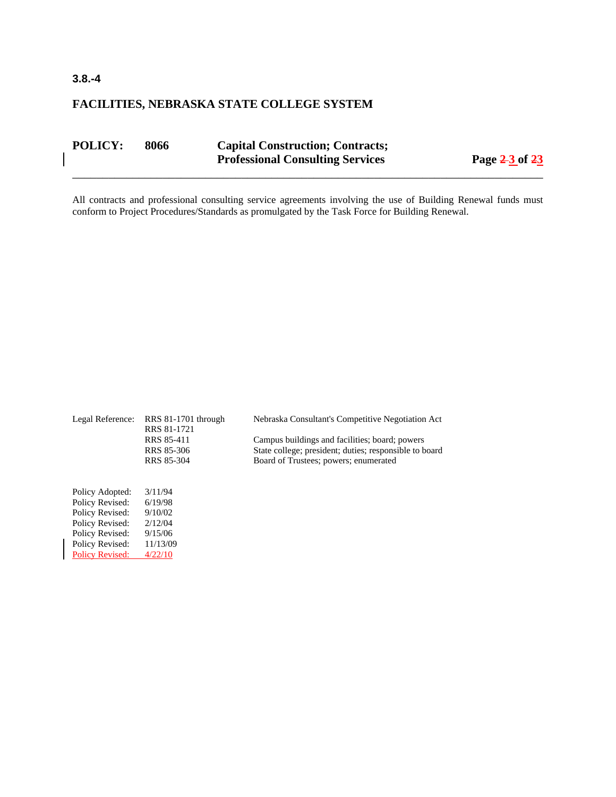| <b>POLICY:</b> | 8066 | <b>Capital Construction; Contracts;</b><br><b>Professional Consulting Services</b> | Page $2-3$ of $23$ |  |
|----------------|------|------------------------------------------------------------------------------------|--------------------|--|
|                |      |                                                                                    |                    |  |

All contracts and professional consulting service agreements involving the use of Building Renewal funds must conform to Project Procedures/Standards as promulgated by the Task Force for Building Renewal.

| Legal Reference:       | $RRS$ 81-1701 through<br>RRS 81-1721 | Nebraska Consultant's Competitive Negotiation Act      |
|------------------------|--------------------------------------|--------------------------------------------------------|
|                        | <b>RRS 85-411</b>                    | Campus buildings and facilities; board; powers         |
|                        | RRS 85-306                           | State college; president; duties; responsible to board |
|                        | RRS 85-304                           | Board of Trustees; powers; enumerated                  |
|                        |                                      |                                                        |
| Policy Adopted:        | 3/11/94                              |                                                        |
| Policy Revised:        | 6/19/98                              |                                                        |
| Policy Revised:        | 9/10/02                              |                                                        |
| Policy Revised:        | 2/12/04                              |                                                        |
| Policy Revised:        | 9/15/06                              |                                                        |
| Policy Revised:        | 11/13/09                             |                                                        |
| <b>Policy Revised:</b> | 4/22/10                              |                                                        |

#### **3.8.-4**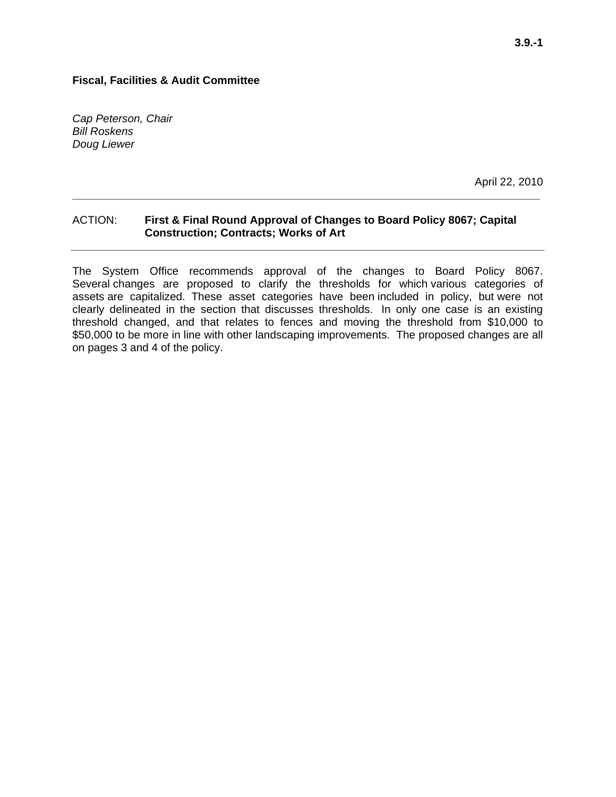*Cap Peterson, Chair Bill Roskens Doug Liewer* 

April 22, 2010

#### ACTION: **First & Final Round Approval of Changes to Board Policy 8067; Capital Construction; Contracts; Works of Art**

**\_\_\_\_\_\_\_\_\_\_\_\_\_\_\_\_\_\_\_\_\_\_\_\_\_\_\_\_\_\_\_\_\_\_\_\_\_\_\_\_\_\_\_\_\_\_\_\_\_\_\_\_\_\_\_\_\_\_\_\_\_\_\_\_\_\_\_\_\_\_\_\_\_\_\_\_** 

**\_\_\_\_\_\_\_\_\_\_\_\_\_\_\_\_\_\_\_\_\_\_\_\_\_\_\_\_\_\_\_\_\_\_\_\_\_\_\_\_\_\_\_\_\_\_\_\_\_\_\_\_\_\_\_\_\_\_\_\_\_\_\_\_\_\_\_\_\_\_\_\_\_\_\_\_\_** 

The System Office recommends approval of the changes to Board Policy 8067. Several changes are proposed to clarify the thresholds for which various categories of assets are capitalized. These asset categories have been included in policy, but were not clearly delineated in the section that discusses thresholds. In only one case is an existing threshold changed, and that relates to fences and moving the threshold from \$10,000 to \$50,000 to be more in line with other landscaping improvements. The proposed changes are all on pages 3 and 4 of the policy.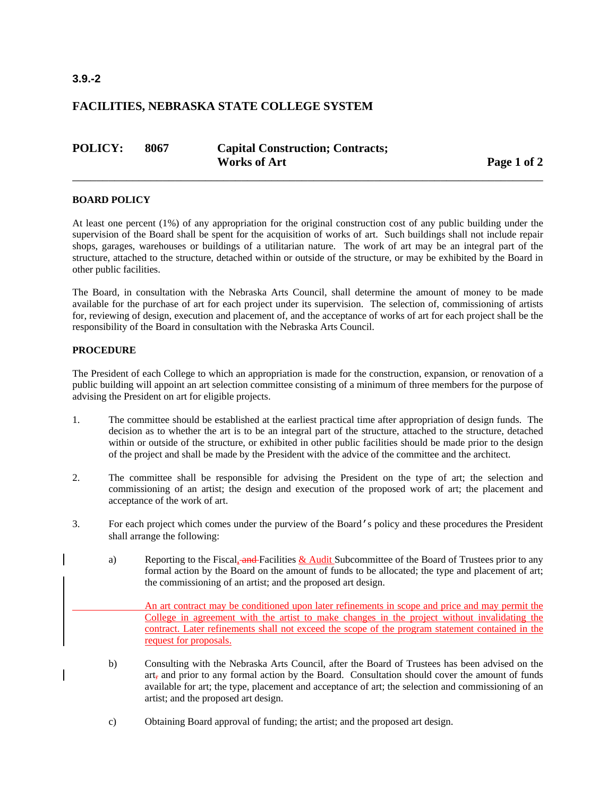#### **3.9.-2**

#### **FACILITIES, NEBRASKA STATE COLLEGE SYSTEM**

| <b>POLICY:</b> | 8067 | <b>Capital Construction; Contracts;</b> |
|----------------|------|-----------------------------------------|
|                |      | <b>Works of Art</b>                     |

Page 1 of 2

#### **BOARD POLICY**

At least one percent (1%) of any appropriation for the original construction cost of any public building under the supervision of the Board shall be spent for the acquisition of works of art. Such buildings shall not include repair shops, garages, warehouses or buildings of a utilitarian nature. The work of art may be an integral part of the structure, attached to the structure, detached within or outside of the structure, or may be exhibited by the Board in other public facilities.

\_\_\_\_\_\_\_\_\_\_\_\_\_\_\_\_\_\_\_\_\_\_\_\_\_\_\_\_\_\_\_\_\_\_\_\_\_\_\_\_\_\_\_\_\_\_\_\_\_\_\_\_\_\_\_\_\_\_\_\_\_\_\_\_\_\_\_\_\_\_\_\_\_\_\_\_\_\_

The Board, in consultation with the Nebraska Arts Council, shall determine the amount of money to be made available for the purchase of art for each project under its supervision. The selection of, commissioning of artists for, reviewing of design, execution and placement of, and the acceptance of works of art for each project shall be the responsibility of the Board in consultation with the Nebraska Arts Council.

#### **PROCEDURE**

The President of each College to which an appropriation is made for the construction, expansion, or renovation of a public building will appoint an art selection committee consisting of a minimum of three members for the purpose of advising the President on art for eligible projects.

- 1. The committee should be established at the earliest practical time after appropriation of design funds. The decision as to whether the art is to be an integral part of the structure, attached to the structure, detached within or outside of the structure, or exhibited in other public facilities should be made prior to the design of the project and shall be made by the President with the advice of the committee and the architect.
- 2. The committee shall be responsible for advising the President on the type of art; the selection and commissioning of an artist; the design and execution of the proposed work of art; the placement and acceptance of the work of art.
- 3. For each project which comes under the purview of the Board's policy and these procedures the President shall arrange the following:
	- a) Reporting to the Fiscal, and Facilities  $\&$  Audit Subcommittee of the Board of Trustees prior to any formal action by the Board on the amount of funds to be allocated; the type and placement of art; the commissioning of an artist; and the proposed art design.

 An art contract may be conditioned upon later refinements in scope and price and may permit the College in agreement with the artist to make changes in the project without invalidating the contract. Later refinements shall not exceed the scope of the program statement contained in the request for proposals.

- b) Consulting with the Nebraska Arts Council, after the Board of Trustees has been advised on the  $art<sub>z</sub>$  and prior to any formal action by the Board. Consultation should cover the amount of funds available for art; the type, placement and acceptance of art; the selection and commissioning of an artist; and the proposed art design.
- c) Obtaining Board approval of funding; the artist; and the proposed art design.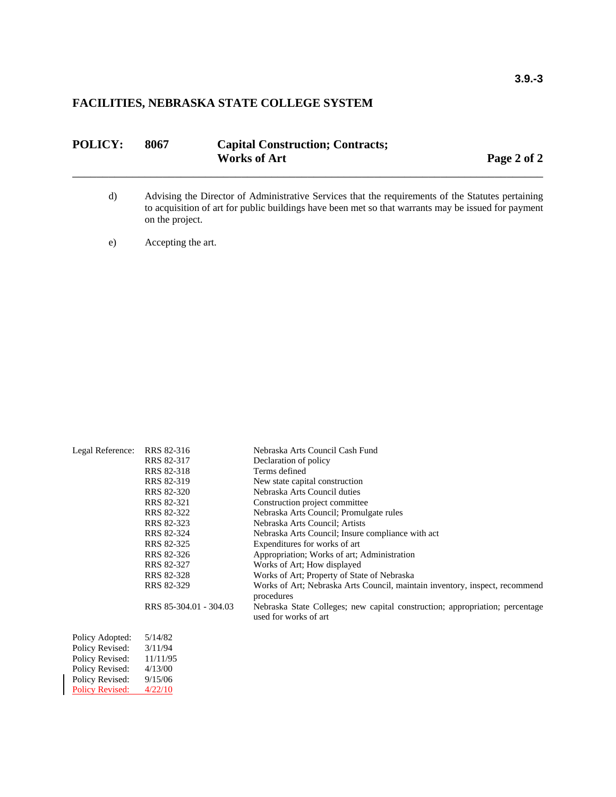| <b>POLICY:</b> | 8067 | <b>Capital Construction; Contracts;</b> |             |  |  |
|----------------|------|-----------------------------------------|-------------|--|--|
|                |      | <b>Works of Art</b>                     | Page 2 of 2 |  |  |
|                |      |                                         |             |  |  |

- d) Advising the Director of Administrative Services that the requirements of the Statutes pertaining to acquisition of art for public buildings have been met so that warrants may be issued for payment on the project.
- e) Accepting the art.

| Legal Reference:       | RRS 82-316             | Nebraska Arts Council Cash Fund                                                                       |
|------------------------|------------------------|-------------------------------------------------------------------------------------------------------|
|                        | RRS 82-317             | Declaration of policy                                                                                 |
|                        | RRS 82-318             | Terms defined                                                                                         |
|                        | RRS 82-319             | New state capital construction                                                                        |
|                        | RRS 82-320             | Nebraska Arts Council duties                                                                          |
|                        | RRS 82-321             | Construction project committee                                                                        |
|                        | RRS 82-322             | Nebraska Arts Council; Promulgate rules                                                               |
|                        | RRS 82-323             | Nebraska Arts Council; Artists                                                                        |
|                        | RRS 82-324             | Nebraska Arts Council; Insure compliance with act                                                     |
|                        | RRS 82-325             | Expenditures for works of art                                                                         |
|                        | RRS 82-326             | Appropriation; Works of art; Administration                                                           |
|                        | RRS 82-327             | Works of Art; How displayed                                                                           |
|                        | RRS 82-328             | Works of Art; Property of State of Nebraska                                                           |
|                        | RRS 82-329             | Works of Art; Nebraska Arts Council, maintain inventory, inspect, recommend<br>procedures             |
|                        | RRS 85-304.01 - 304.03 | Nebraska State Colleges; new capital construction; appropriation; percentage<br>used for works of art |
| Policy Adopted:        | 5/14/82                |                                                                                                       |
| Policy Revised:        | 3/11/94                |                                                                                                       |
| Policy Revised:        | 11/11/95               |                                                                                                       |
| Policy Revised:        | 4/13/00                |                                                                                                       |
| Policy Revised:        | 9/15/06                |                                                                                                       |
| <b>Policy Revised:</b> | 4/22/10                |                                                                                                       |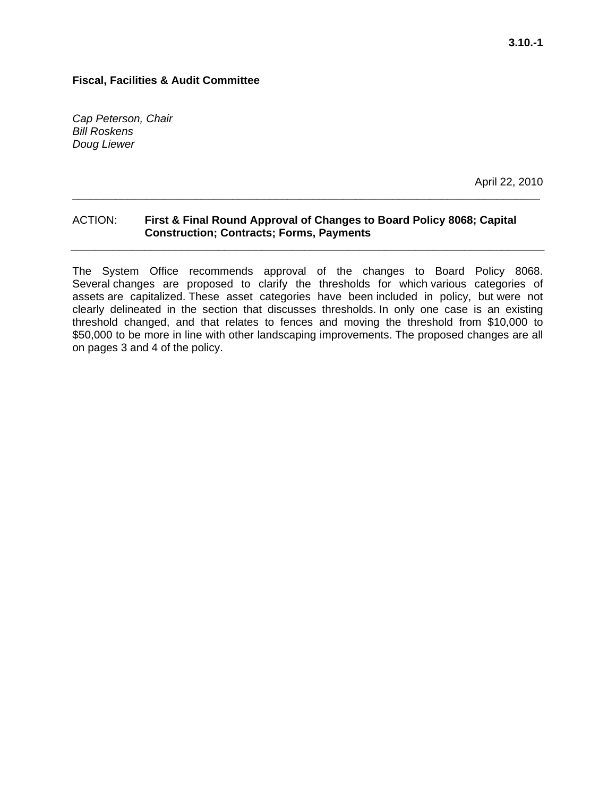*Cap Peterson, Chair Bill Roskens Doug Liewer* 

April 22, 2010

#### ACTION: **First & Final Round Approval of Changes to Board Policy 8068; Capital Construction; Contracts; Forms, Payments**

**\_\_\_\_\_\_\_\_\_\_\_\_\_\_\_\_\_\_\_\_\_\_\_\_\_\_\_\_\_\_\_\_\_\_\_\_\_\_\_\_\_\_\_\_\_\_\_\_\_\_\_\_\_\_\_\_\_\_\_\_\_\_\_\_\_\_\_\_\_\_\_\_\_\_\_\_** 

**\_\_\_\_\_\_\_\_\_\_\_\_\_\_\_\_\_\_\_\_\_\_\_\_\_\_\_\_\_\_\_\_\_\_\_\_\_\_\_\_\_\_\_\_\_\_\_\_\_\_\_\_\_\_\_\_\_\_\_\_\_\_\_\_\_\_\_\_\_\_\_\_\_\_\_\_\_** 

The System Office recommends approval of the changes to Board Policy 8068. Several changes are proposed to clarify the thresholds for which various categories of assets are capitalized. These asset categories have been included in policy, but were not clearly delineated in the section that discusses thresholds. In only one case is an existing threshold changed, and that relates to fences and moving the threshold from \$10,000 to \$50,000 to be more in line with other landscaping improvements. The proposed changes are all on pages 3 and 4 of the policy.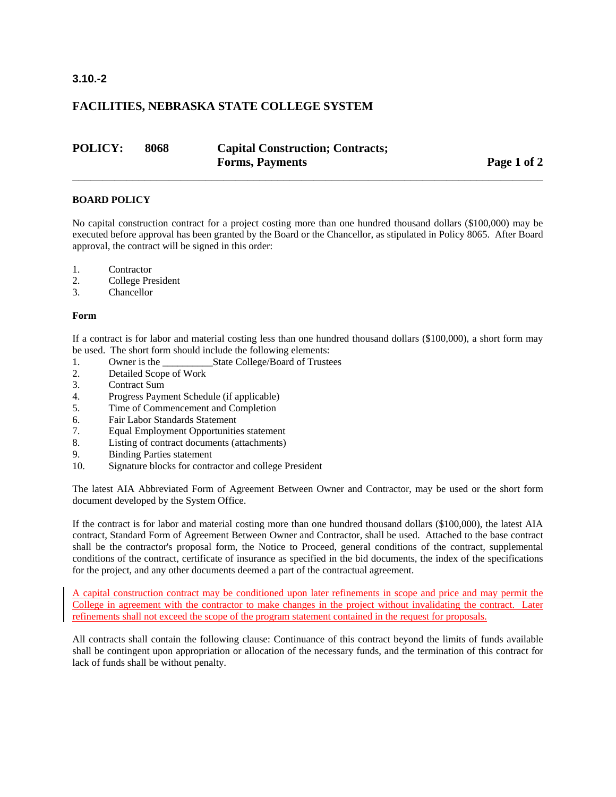#### **3.10.-2**

#### **FACILITIES, NEBRASKA STATE COLLEGE SYSTEM**

| <b>POLICY:</b> | 8068 | <b>Capital Construction; Contracts;</b> |             |
|----------------|------|-----------------------------------------|-------------|
|                |      | <b>Forms, Payments</b>                  | Page 1 of 2 |

#### **BOARD POLICY**

No capital construction contract for a project costing more than one hundred thousand dollars (\$100,000) may be executed before approval has been granted by the Board or the Chancellor, as stipulated in Policy 8065. After Board approval, the contract will be signed in this order:

\_\_\_\_\_\_\_\_\_\_\_\_\_\_\_\_\_\_\_\_\_\_\_\_\_\_\_\_\_\_\_\_\_\_\_\_\_\_\_\_\_\_\_\_\_\_\_\_\_\_\_\_\_\_\_\_\_\_\_\_\_\_\_\_\_\_\_\_\_\_\_\_\_\_\_\_\_\_

- 1. Contractor
- 2. College President
- 3. Chancellor

#### **Form**

If a contract is for labor and material costing less than one hundred thousand dollars (\$100,000), a short form may be used. The short form should include the following elements:

- 1. Owner is the State College/Board of Trustees
- 2. Detailed Scope of Work
- 3. Contract Sum
- 4. Progress Payment Schedule (if applicable)
- 5. Time of Commencement and Completion
- 6. Fair Labor Standards Statement
- 7. Equal Employment Opportunities statement
- 8. Listing of contract documents (attachments)
- 9. Binding Parties statement
- 10. Signature blocks for contractor and college President

The latest AIA Abbreviated Form of Agreement Between Owner and Contractor, may be used or the short form document developed by the System Office.

If the contract is for labor and material costing more than one hundred thousand dollars (\$100,000), the latest AIA contract, Standard Form of Agreement Between Owner and Contractor, shall be used. Attached to the base contract shall be the contractor's proposal form, the Notice to Proceed, general conditions of the contract, supplemental conditions of the contract, certificate of insurance as specified in the bid documents, the index of the specifications for the project, and any other documents deemed a part of the contractual agreement.

A capital construction contract may be conditioned upon later refinements in scope and price and may permit the College in agreement with the contractor to make changes in the project without invalidating the contract. Later refinements shall not exceed the scope of the program statement contained in the request for proposals.

All contracts shall contain the following clause: Continuance of this contract beyond the limits of funds available shall be contingent upon appropriation or allocation of the necessary funds, and the termination of this contract for lack of funds shall be without penalty.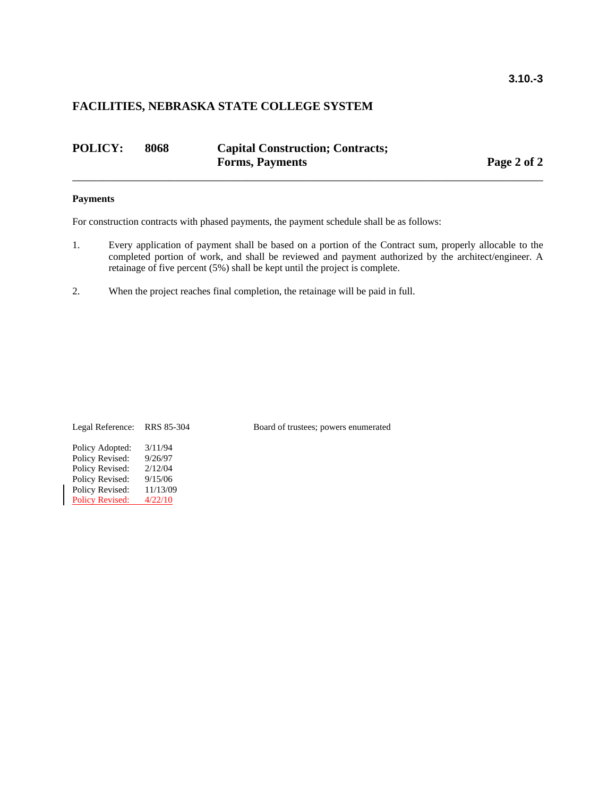| <b>POLICY:</b> | 8068 | <b>Capital Construction; Contracts;</b> |  |             |
|----------------|------|-----------------------------------------|--|-------------|
|                |      | <b>Forms, Payments</b>                  |  | Page 2 of 2 |
|                |      |                                         |  |             |

#### **Payments**

For construction contracts with phased payments, the payment schedule shall be as follows:

- 1. Every application of payment shall be based on a portion of the Contract sum, properly allocable to the completed portion of work, and shall be reviewed and payment authorized by the architect/engineer. A retainage of five percent (5%) shall be kept until the project is complete.
- 2. When the project reaches final completion, the retainage will be paid in full.

Policy Adopted: 3/11/94 Policy Revised: 9/26/97 Policy Revised: 2/12/04 Policy Revised: 9/15/06 Policy Revised: 11/13/09<br>Policy Revised: 4/22/10 Policy Revised:

Legal Reference: RRS 85-304 Board of trustees; powers enumerated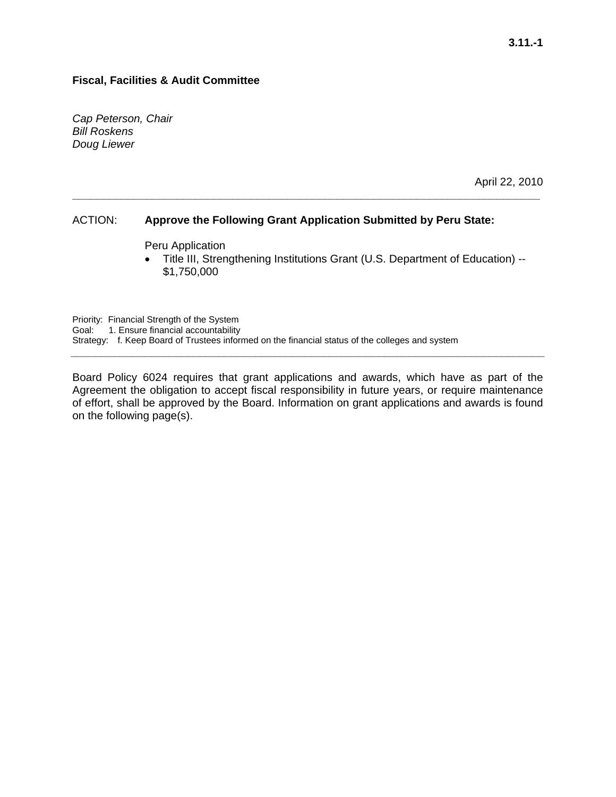*Cap Peterson, Chair Bill Roskens Doug Liewer* 

April 22, 2010

#### ACTION: **Approve the Following Grant Application Submitted by Peru State:**

**\_\_\_\_\_\_\_\_\_\_\_\_\_\_\_\_\_\_\_\_\_\_\_\_\_\_\_\_\_\_\_\_\_\_\_\_\_\_\_\_\_\_\_\_\_\_\_\_\_\_\_\_\_\_\_\_\_\_\_\_\_\_\_\_\_\_\_\_\_\_\_\_\_\_\_\_** 

Peru Application

• Title III, Strengthening Institutions Grant (U.S. Department of Education) -- \$1,750,000

Priority: Financial Strength of the System Goal: 1. Ensure financial accountability Strategy: f. Keep Board of Trustees informed on the financial status of the colleges and system

Board Policy 6024 requires that grant applications and awards, which have as part of the Agreement the obligation to accept fiscal responsibility in future years, or require maintenance of effort, shall be approved by the Board. Information on grant applications and awards is found on the following page(s).

**\_\_\_\_\_\_\_\_\_\_\_\_\_\_\_\_\_\_\_\_\_\_\_\_\_\_\_\_\_\_\_\_\_\_\_\_\_\_\_\_\_\_\_\_\_\_\_\_\_\_\_\_\_\_\_\_\_\_\_\_\_\_\_\_\_\_\_\_\_\_\_\_\_\_\_\_\_**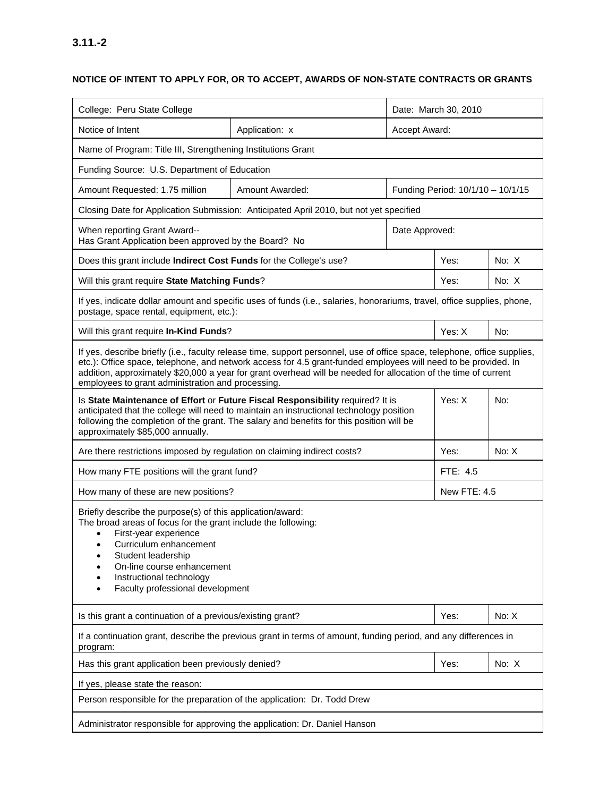### **NOTICE OF INTENT TO APPLY FOR, OR TO ACCEPT, AWARDS OF NON-STATE CONTRACTS OR GRANTS**

| College: Peru State College                                                                                                                                                                                                                                                                             |                                                                                                                                                                                                                                                                                                                                                                |                | Date: March 30, 2010              |               |  |  |
|---------------------------------------------------------------------------------------------------------------------------------------------------------------------------------------------------------------------------------------------------------------------------------------------------------|----------------------------------------------------------------------------------------------------------------------------------------------------------------------------------------------------------------------------------------------------------------------------------------------------------------------------------------------------------------|----------------|-----------------------------------|---------------|--|--|
| Notice of Intent                                                                                                                                                                                                                                                                                        | Application: x                                                                                                                                                                                                                                                                                                                                                 |                |                                   | Accept Award: |  |  |
| Name of Program: Title III, Strengthening Institutions Grant                                                                                                                                                                                                                                            |                                                                                                                                                                                                                                                                                                                                                                |                |                                   |               |  |  |
| Funding Source: U.S. Department of Education                                                                                                                                                                                                                                                            |                                                                                                                                                                                                                                                                                                                                                                |                |                                   |               |  |  |
| Amount Requested: 1.75 million                                                                                                                                                                                                                                                                          | Amount Awarded:                                                                                                                                                                                                                                                                                                                                                |                | Funding Period: 10/1/10 - 10/1/15 |               |  |  |
|                                                                                                                                                                                                                                                                                                         | Closing Date for Application Submission: Anticipated April 2010, but not yet specified                                                                                                                                                                                                                                                                         |                |                                   |               |  |  |
| When reporting Grant Award--<br>Has Grant Application been approved by the Board? No                                                                                                                                                                                                                    |                                                                                                                                                                                                                                                                                                                                                                | Date Approved: |                                   |               |  |  |
| Does this grant include Indirect Cost Funds for the College's use?                                                                                                                                                                                                                                      |                                                                                                                                                                                                                                                                                                                                                                |                | Yes:                              | No: X         |  |  |
| Will this grant require State Matching Funds?                                                                                                                                                                                                                                                           |                                                                                                                                                                                                                                                                                                                                                                |                | Yes:                              | No: $X$       |  |  |
| postage, space rental, equipment, etc.):                                                                                                                                                                                                                                                                | If yes, indicate dollar amount and specific uses of funds (i.e., salaries, honorariums, travel, office supplies, phone,                                                                                                                                                                                                                                        |                |                                   |               |  |  |
| Will this grant require In-Kind Funds?                                                                                                                                                                                                                                                                  |                                                                                                                                                                                                                                                                                                                                                                |                | Yes: X                            | No:           |  |  |
| employees to grant administration and processing.                                                                                                                                                                                                                                                       | If yes, describe briefly (i.e., faculty release time, support personnel, use of office space, telephone, office supplies,<br>etc.): Office space, telephone, and network access for 4.5 grant-funded employees will need to be provided. In<br>addition, approximately \$20,000 a year for grant overhead will be needed for allocation of the time of current |                |                                   |               |  |  |
| approximately \$85,000 annually.                                                                                                                                                                                                                                                                        | Is State Maintenance of Effort or Future Fiscal Responsibility required? It is<br>Yes: X<br>No:<br>anticipated that the college will need to maintain an instructional technology position<br>following the completion of the grant. The salary and benefits for this position will be                                                                         |                |                                   |               |  |  |
| Are there restrictions imposed by regulation on claiming indirect costs?                                                                                                                                                                                                                                |                                                                                                                                                                                                                                                                                                                                                                |                | Yes:                              | No: X         |  |  |
| How many FTE positions will the grant fund?                                                                                                                                                                                                                                                             |                                                                                                                                                                                                                                                                                                                                                                |                | FTE: 4.5                          |               |  |  |
| How many of these are new positions?                                                                                                                                                                                                                                                                    |                                                                                                                                                                                                                                                                                                                                                                |                | <b>New FTE: 4.5</b>               |               |  |  |
| Briefly describe the purpose(s) of this application/award:<br>The broad areas of focus for the grant include the following:<br>First-year experience<br>Curriculum enhancement<br>٠<br>Student leadership<br>On-line course enhancement<br>Instructional technology<br>Faculty professional development |                                                                                                                                                                                                                                                                                                                                                                |                |                                   |               |  |  |
|                                                                                                                                                                                                                                                                                                         | Is this grant a continuation of a previous/existing grant?<br>No: X<br>Yes:                                                                                                                                                                                                                                                                                    |                |                                   |               |  |  |
| program:                                                                                                                                                                                                                                                                                                | If a continuation grant, describe the previous grant in terms of amount, funding period, and any differences in                                                                                                                                                                                                                                                |                |                                   |               |  |  |
| Has this grant application been previously denied?                                                                                                                                                                                                                                                      |                                                                                                                                                                                                                                                                                                                                                                |                | Yes:                              | No: X         |  |  |
| If yes, please state the reason:                                                                                                                                                                                                                                                                        |                                                                                                                                                                                                                                                                                                                                                                |                |                                   |               |  |  |
| Person responsible for the preparation of the application: Dr. Todd Drew                                                                                                                                                                                                                                |                                                                                                                                                                                                                                                                                                                                                                |                |                                   |               |  |  |
| Administrator responsible for approving the application: Dr. Daniel Hanson                                                                                                                                                                                                                              |                                                                                                                                                                                                                                                                                                                                                                |                |                                   |               |  |  |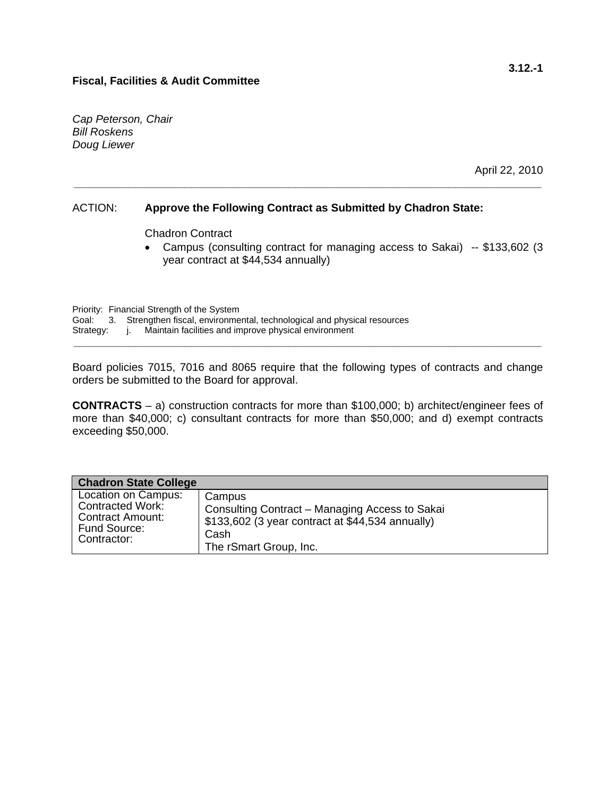*Cap Peterson, Chair Bill Roskens Doug Liewer* 

April 22, 2010

#### ACTION: **Approve the Following Contract as Submitted by Chadron State:**

**\_\_\_\_\_\_\_\_\_\_\_\_\_\_\_\_\_\_\_\_\_\_\_\_\_\_\_\_\_\_\_\_\_\_\_\_\_\_\_\_\_\_\_\_\_\_\_\_\_\_\_\_\_\_\_\_\_\_\_\_\_\_\_\_\_\_\_\_\_\_\_\_\_\_\_\_** 

Chadron Contract

• Campus (consulting contract for managing access to Sakai) -- \$133,602 (3 year contract at \$44,534 annually)

 Priority: Financial Strength of the System Goal: 3. Strengthen fiscal, environmental, technological and physical resources Strategy: j. Maintain facilities and improve physical environment **\_\_\_\_\_\_\_\_\_\_\_\_\_\_\_\_\_\_\_\_\_\_\_\_\_\_\_\_\_\_\_\_\_\_\_\_\_\_\_\_\_\_\_\_\_\_\_\_\_\_\_\_\_\_\_\_\_\_\_\_\_\_\_\_\_\_\_\_\_\_\_\_\_\_\_\_** 

Board policies 7015, 7016 and 8065 require that the following types of contracts and change orders be submitted to the Board for approval.

**CONTRACTS** – a) construction contracts for more than \$100,000; b) architect/engineer fees of more than \$40,000; c) consultant contracts for more than \$50,000; and d) exempt contracts exceeding \$50,000.

| <b>Chadron State College</b> |                                                  |
|------------------------------|--------------------------------------------------|
| Location on Campus:          | Campus                                           |
| <b>Contracted Work:</b>      | Consulting Contract – Managing Access to Sakai   |
| <b>Contract Amount:</b>      | \$133,602 (3 year contract at \$44,534 annually) |
| Fund Source:                 | Cash                                             |
| Contractor:                  | The rSmart Group, Inc.                           |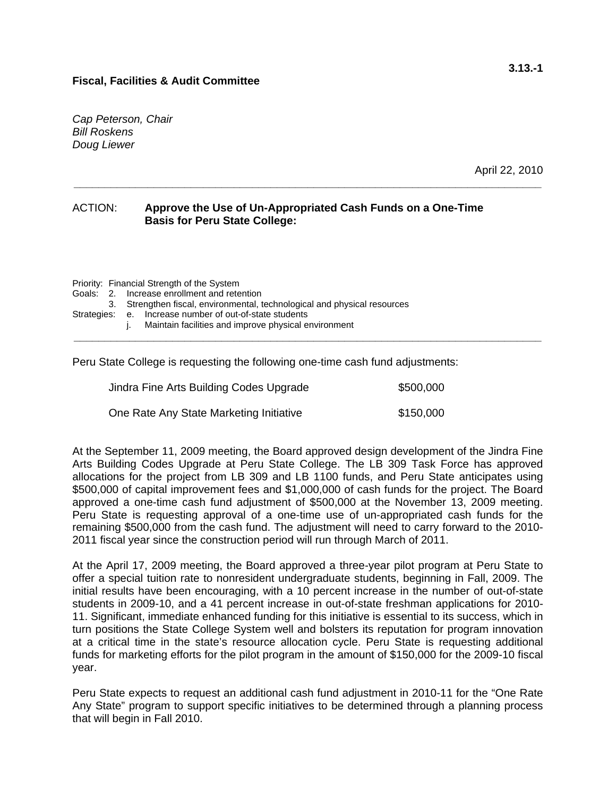*Cap Peterson, Chair Bill Roskens Doug Liewer* 

April 22, 2010

#### ACTION: **Approve the Use of Un-Appropriated Cash Funds on a One-Time Basis for Peru State College:**

**\_\_\_\_\_\_\_\_\_\_\_\_\_\_\_\_\_\_\_\_\_\_\_\_\_\_\_\_\_\_\_\_\_\_\_\_\_\_\_\_\_\_\_\_\_\_\_\_\_\_\_\_\_\_\_\_\_\_\_\_\_\_\_\_\_\_\_\_\_\_\_\_\_\_\_\_** 

|  | Priority: Financial Strength of the System |                                                                           |  |  |  |
|--|--------------------------------------------|---------------------------------------------------------------------------|--|--|--|
|  |                                            | Goals: 2. Increase enrollment and retention                               |  |  |  |
|  |                                            | 3. Strengthen fiscal, environmental, technological and physical resources |  |  |  |
|  |                                            | Strategies: e. Increase number of out-of-state students                   |  |  |  |
|  |                                            | Maintain facilities and improve physical environment                      |  |  |  |
|  |                                            |                                                                           |  |  |  |

Peru State College is requesting the following one-time cash fund adjustments:

| Jindra Fine Arts Building Codes Upgrade | \$500,000 |
|-----------------------------------------|-----------|
| One Rate Any State Marketing Initiative | \$150,000 |

At the September 11, 2009 meeting, the Board approved design development of the Jindra Fine Arts Building Codes Upgrade at Peru State College. The LB 309 Task Force has approved allocations for the project from LB 309 and LB 1100 funds, and Peru State anticipates using \$500,000 of capital improvement fees and \$1,000,000 of cash funds for the project. The Board approved a one-time cash fund adjustment of \$500,000 at the November 13, 2009 meeting. Peru State is requesting approval of a one-time use of un-appropriated cash funds for the remaining \$500,000 from the cash fund. The adjustment will need to carry forward to the 2010- 2011 fiscal year since the construction period will run through March of 2011.

At the April 17, 2009 meeting, the Board approved a three-year pilot program at Peru State to offer a special tuition rate to nonresident undergraduate students, beginning in Fall, 2009. The initial results have been encouraging, with a 10 percent increase in the number of out-of-state students in 2009-10, and a 41 percent increase in out-of-state freshman applications for 2010- 11. Significant, immediate enhanced funding for this initiative is essential to its success, which in turn positions the State College System well and bolsters its reputation for program innovation at a critical time in the state's resource allocation cycle. Peru State is requesting additional funds for marketing efforts for the pilot program in the amount of \$150,000 for the 2009-10 fiscal year.

Peru State expects to request an additional cash fund adjustment in 2010-11 for the "One Rate Any State" program to support specific initiatives to be determined through a planning process that will begin in Fall 2010.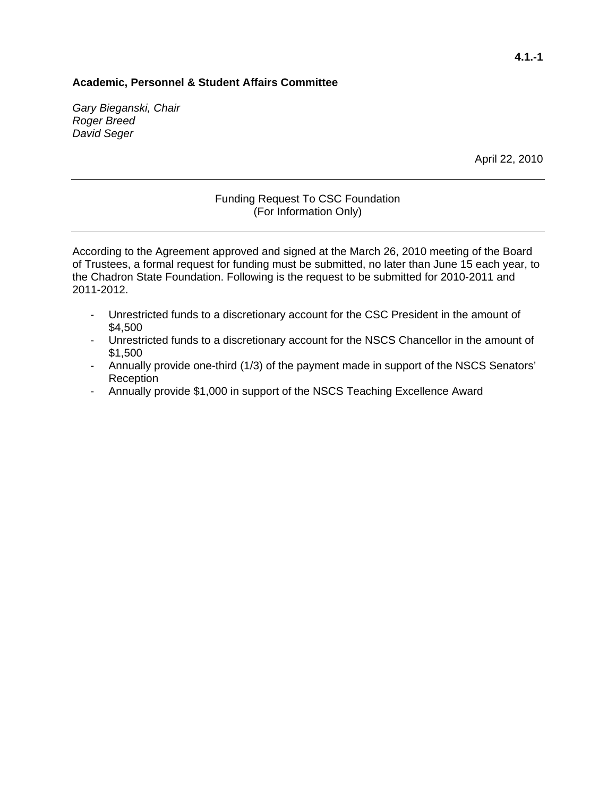*Gary Bieganski, Chair Roger Breed David Seger* 

April 22, 2010

#### Funding Request To CSC Foundation (For Information Only)

According to the Agreement approved and signed at the March 26, 2010 meeting of the Board of Trustees, a formal request for funding must be submitted, no later than June 15 each year, to the Chadron State Foundation. Following is the request to be submitted for 2010-2011 and 2011-2012.

- Unrestricted funds to a discretionary account for the CSC President in the amount of \$4,500
- Unrestricted funds to a discretionary account for the NSCS Chancellor in the amount of \$1,500
- Annually provide one-third (1/3) of the payment made in support of the NSCS Senators' Reception
- Annually provide \$1,000 in support of the NSCS Teaching Excellence Award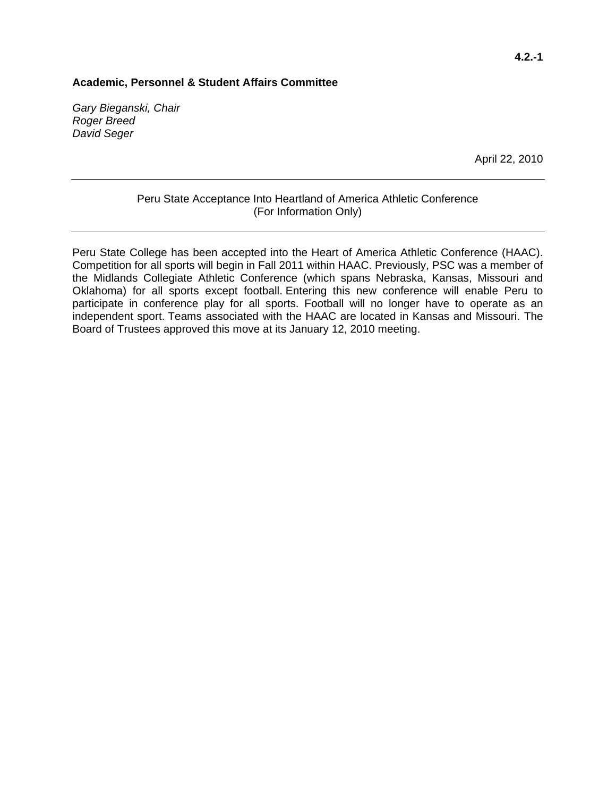*Gary Bieganski, Chair Roger Breed David Seger* 

April 22, 2010

#### Peru State Acceptance Into Heartland of America Athletic Conference (For Information Only)

Peru State College has been accepted into the Heart of America Athletic Conference (HAAC). Competition for all sports will begin in Fall 2011 within HAAC. Previously, PSC was a member of the Midlands Collegiate Athletic Conference (which spans Nebraska, Kansas, Missouri and Oklahoma) for all sports except football. Entering this new conference will enable Peru to participate in conference play for all sports. Football will no longer have to operate as an independent sport. Teams associated with the HAAC are located in Kansas and Missouri. The Board of Trustees approved this move at its January 12, 2010 meeting.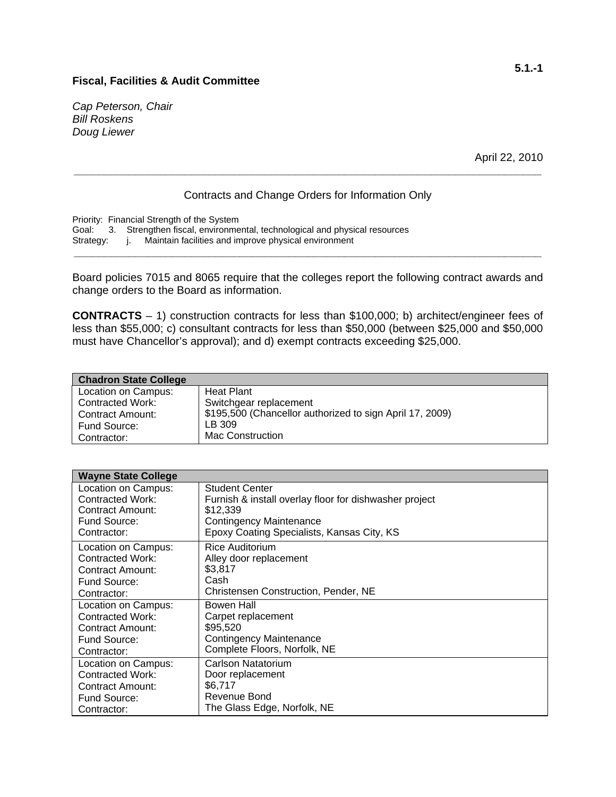*Cap Peterson, Chair Bill Roskens Doug Liewer* 

April 22, 2010

#### Contracts and Change Orders for Information Only

**\_\_\_\_\_\_\_\_\_\_\_\_\_\_\_\_\_\_\_\_\_\_\_\_\_\_\_\_\_\_\_\_\_\_\_\_\_\_\_\_\_\_\_\_\_\_\_\_\_\_\_\_\_\_\_\_\_\_\_\_\_\_\_\_\_\_\_\_\_\_\_\_\_\_\_\_** 

Priority: Financial Strength of the System Goal: 3. Strengthen fiscal, environmental, technological and physical resources<br>Strategy: j. Maintain facilities and improve physical environment j. Maintain facilities and improve physical environment **\_\_\_\_\_\_\_\_\_\_\_\_\_\_\_\_\_\_\_\_\_\_\_\_\_\_\_\_\_\_\_\_\_\_\_\_\_\_\_\_\_\_\_\_\_\_\_\_\_\_\_\_\_\_\_\_\_\_\_\_\_\_\_\_\_\_\_\_\_\_\_\_\_\_\_\_** 

Board policies 7015 and 8065 require that the colleges report the following contract awards and change orders to the Board as information.

**CONTRACTS** – 1) construction contracts for less than \$100,000; b) architect/engineer fees of less than \$55,000; c) consultant contracts for less than \$50,000 (between \$25,000 and \$50,000 must have Chancellor's approval); and d) exempt contracts exceeding \$25,000.

| <b>Chadron State College</b> |                                                          |  |
|------------------------------|----------------------------------------------------------|--|
| Location on Campus:          | <b>Heat Plant</b>                                        |  |
| <b>Contracted Work:</b>      | Switchgear replacement                                   |  |
| <b>Contract Amount:</b>      | \$195,500 (Chancellor authorized to sign April 17, 2009) |  |
| Fund Source:                 | LB 309                                                   |  |
| Contractor:                  | <b>Mac Construction</b>                                  |  |

| <b>Wayne State College</b> |                                                        |  |  |
|----------------------------|--------------------------------------------------------|--|--|
| Location on Campus:        | <b>Student Center</b>                                  |  |  |
| <b>Contracted Work:</b>    | Furnish & install overlay floor for dishwasher project |  |  |
| Contract Amount:           | \$12,339                                               |  |  |
| Fund Source:               | <b>Contingency Maintenance</b>                         |  |  |
| Contractor:                | Epoxy Coating Specialists, Kansas City, KS             |  |  |
| Location on Campus:        | Rice Auditorium                                        |  |  |
| <b>Contracted Work:</b>    | Alley door replacement                                 |  |  |
| Contract Amount:           | \$3,817                                                |  |  |
| Fund Source:               | Cash                                                   |  |  |
| Contractor:                | Christensen Construction, Pender, NE                   |  |  |
| Location on Campus:        | <b>Bowen Hall</b>                                      |  |  |
| Contracted Work:           | Carpet replacement                                     |  |  |
| <b>Contract Amount:</b>    | \$95,520                                               |  |  |
| Fund Source:               | <b>Contingency Maintenance</b>                         |  |  |
| Contractor:                | Complete Floors, Norfolk, NE                           |  |  |
| Location on Campus:        | Carlson Natatorium                                     |  |  |
| <b>Contracted Work:</b>    | Door replacement                                       |  |  |
| Contract Amount:           | \$6,717                                                |  |  |
| Fund Source:               | Revenue Bond                                           |  |  |
| Contractor:                | The Glass Edge, Norfolk, NE                            |  |  |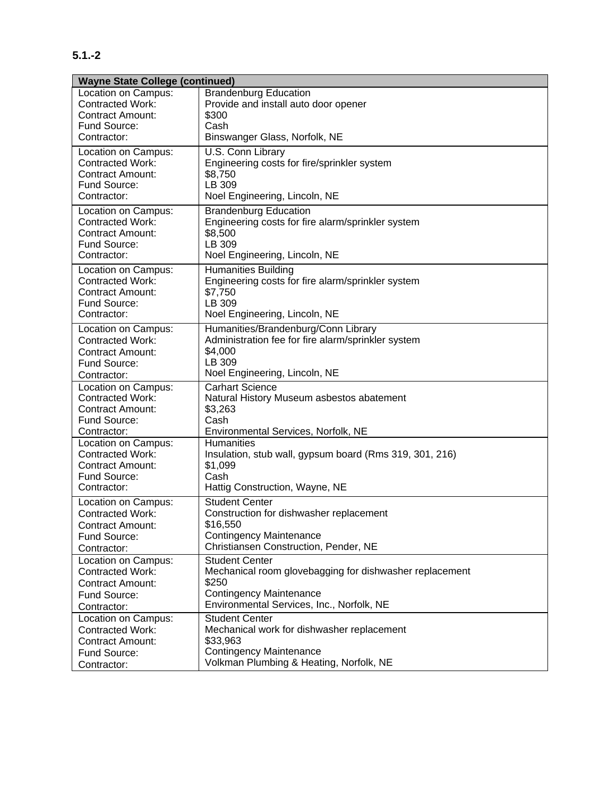## **5.1.-2**

| <b>Wayne State College (continued)</b> |                                                         |  |  |
|----------------------------------------|---------------------------------------------------------|--|--|
| Location on Campus:                    | <b>Brandenburg Education</b>                            |  |  |
| <b>Contracted Work:</b>                | Provide and install auto door opener                    |  |  |
| Contract Amount:                       | \$300                                                   |  |  |
| Fund Source:                           | Cash                                                    |  |  |
| Contractor:                            | Binswanger Glass, Norfolk, NE                           |  |  |
| Location on Campus:                    | U.S. Conn Library                                       |  |  |
| Contracted Work:                       | Engineering costs for fire/sprinkler system             |  |  |
| <b>Contract Amount:</b>                | \$8,750                                                 |  |  |
| Fund Source:                           | LB 309                                                  |  |  |
| Contractor:                            | Noel Engineering, Lincoln, NE                           |  |  |
| Location on Campus:                    | <b>Brandenburg Education</b>                            |  |  |
| <b>Contracted Work:</b>                | Engineering costs for fire alarm/sprinkler system       |  |  |
| <b>Contract Amount:</b>                | \$8,500                                                 |  |  |
| Fund Source:                           | LB 309                                                  |  |  |
| Contractor:                            | Noel Engineering, Lincoln, NE                           |  |  |
| Location on Campus:                    | <b>Humanities Building</b>                              |  |  |
| <b>Contracted Work:</b>                | Engineering costs for fire alarm/sprinkler system       |  |  |
| <b>Contract Amount:</b>                | \$7,750                                                 |  |  |
| Fund Source:                           | LB 309                                                  |  |  |
| Contractor:                            | Noel Engineering, Lincoln, NE                           |  |  |
| Location on Campus:                    | Humanities/Brandenburg/Conn Library                     |  |  |
| <b>Contracted Work:</b>                | Administration fee for fire alarm/sprinkler system      |  |  |
| <b>Contract Amount:</b>                | \$4,000                                                 |  |  |
| Fund Source:                           | LB 309                                                  |  |  |
| Contractor:                            | Noel Engineering, Lincoln, NE                           |  |  |
| Location on Campus:                    | <b>Carhart Science</b>                                  |  |  |
| <b>Contracted Work:</b>                | Natural History Museum asbestos abatement               |  |  |
| <b>Contract Amount:</b>                | \$3,263                                                 |  |  |
| Fund Source:                           | Cash                                                    |  |  |
| Contractor:                            | Environmental Services, Norfolk, NE                     |  |  |
| Location on Campus:                    | <b>Humanities</b>                                       |  |  |
| <b>Contracted Work:</b>                | Insulation, stub wall, gypsum board (Rms 319, 301, 216) |  |  |
| Contract Amount:                       | \$1,099                                                 |  |  |
| Fund Source:                           | Cash                                                    |  |  |
| Contractor:                            | Hattig Construction, Wayne, NE                          |  |  |
| Location on Campus:                    | <b>Student Center</b>                                   |  |  |
| <b>Contracted Work:</b>                | Construction for dishwasher replacement                 |  |  |
| <b>Contract Amount:</b>                | \$16,550                                                |  |  |
| Fund Source:                           | <b>Contingency Maintenance</b>                          |  |  |
| Contractor:                            | Christiansen Construction, Pender, NE                   |  |  |
| Location on Campus:                    | <b>Student Center</b>                                   |  |  |
| <b>Contracted Work:</b>                | Mechanical room glovebagging for dishwasher replacement |  |  |
| <b>Contract Amount:</b>                | \$250                                                   |  |  |
| Fund Source:                           | <b>Contingency Maintenance</b>                          |  |  |
| Contractor:                            | Environmental Services, Inc., Norfolk, NE               |  |  |
| Location on Campus:                    | <b>Student Center</b>                                   |  |  |
| <b>Contracted Work:</b>                | Mechanical work for dishwasher replacement              |  |  |
| <b>Contract Amount:</b>                | \$33,963                                                |  |  |
| Fund Source:                           | <b>Contingency Maintenance</b>                          |  |  |
| Contractor:                            | Volkman Plumbing & Heating, Norfolk, NE                 |  |  |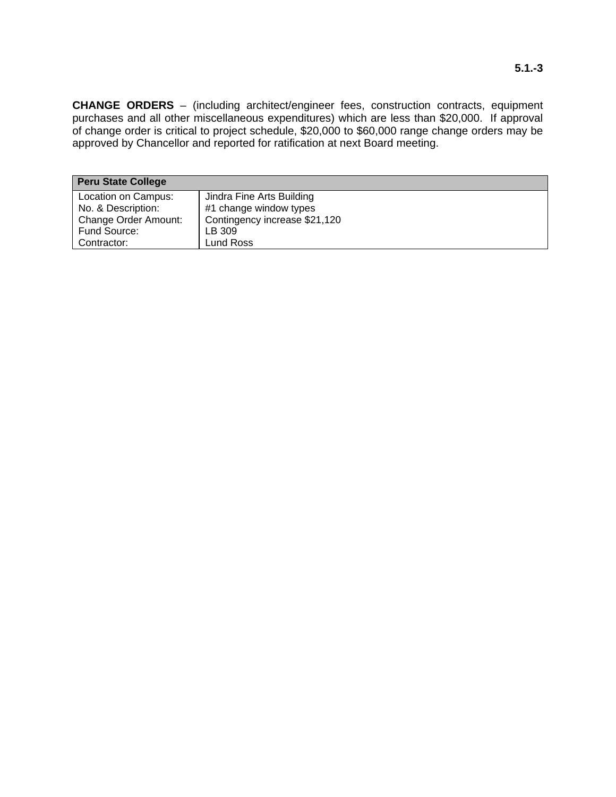**CHANGE ORDERS** – (including architect/engineer fees, construction contracts, equipment purchases and all other miscellaneous expenditures) which are less than \$20,000. If approval of change order is critical to project schedule, \$20,000 to \$60,000 range change orders may be approved by Chancellor and reported for ratification at next Board meeting.

| <b>Peru State College</b>   |                               |  |
|-----------------------------|-------------------------------|--|
| Location on Campus:         | Jindra Fine Arts Building     |  |
| No. & Description:          | #1 change window types        |  |
| <b>Change Order Amount:</b> | Contingency increase \$21,120 |  |
| Fund Source:                | LB 309                        |  |
| Contractor:                 | Lund Ross                     |  |